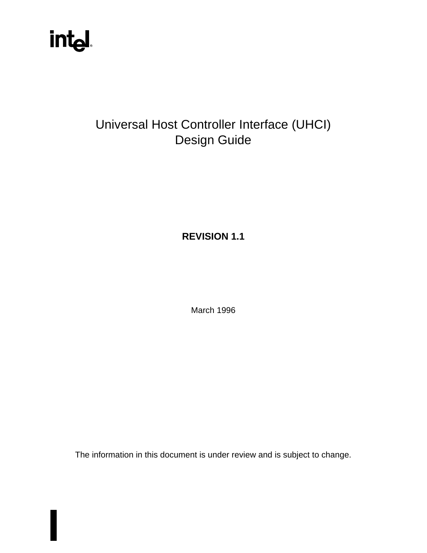# int<sub>el</sub>

# Universal Host Controller Interface (UHCI) Design Guide

**REVISION 1.1**

March 1996

The information in this document is under review and is subject to change.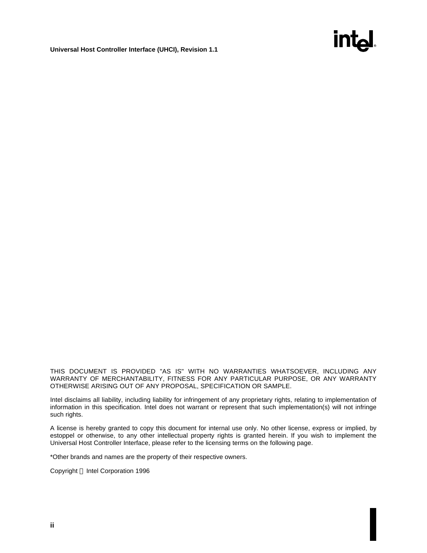#### THIS DOCUMENT IS PROVIDED "AS IS" WITH NO WARRANTIES WHATSOEVER, INCLUDING ANY WARRANTY OF MERCHANTABILITY, FITNESS FOR ANY PARTICULAR PURPOSE, OR ANY WARRANTY OTHERWISE ARISING OUT OF ANY PROPOSAL, SPECIFICATION OR SAMPLE.

**R**

int

Intel disclaims all liability, including liability for infringement of any proprietary rights, relating to implementation of information in this specification. Intel does not warrant or represent that such implementation(s) will not infringe such rights.

A license is hereby granted to copy this document for internal use only. No other license, express or implied, by estoppel or otherwise, to any other intellectual property rights is granted herein. If you wish to implement the Universal Host Controller Interface, please refer to the licensing terms on the following page.

\*Other brands and names are the property of their respective owners.

Copyright © Intel Corporation 1996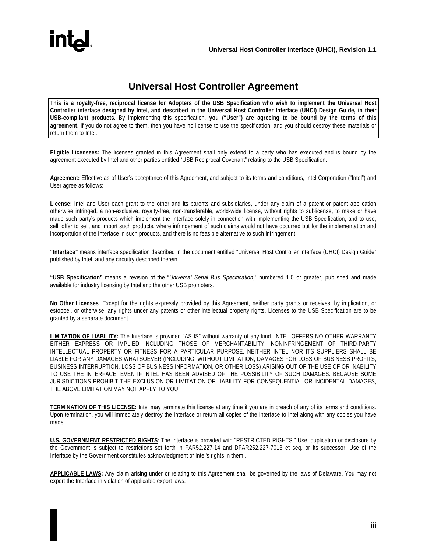

# **Universal Host Controller Agreement**

**This is a royalty-free, reciprocal license for Adopters of the USB Specification who wish to implement the Universal Host Controller interface designed by Intel, and described in the Universal Host Controller Interface (UHCI) Design Guide, in their USB-compliant products.** By implementing this specification, **you ("User") are agreeing to be bound by the terms of this agreement**. If you do not agree to them, then you have no license to use the specification, and you should destroy these materials or return them to Intel.

**Eligible Licensees:** The licenses granted in this Agreement shall only extend to a party who has executed and is bound by the agreement executed by Intel and other parties entitled "USB Reciprocal Covenant" relating to the USB Specification.

**Agreement:** Effective as of User's acceptance of this Agreement, and subject to its terms and conditions, Intel Corporation ("Intel") and User agree as follows:

**License:** Intel and User each grant to the other and its parents and subsidiaries, under any claim of a patent or patent application otherwise infringed, a non-exclusive, royalty-free, non-transferable, world-wide license, without rights to sublicense, to make or have made such party's products which implement the Interface solely in connection with implementing the USB Specification, and to use, sell, offer to sell, and import such products, where infringement of such claims would not have occurred but for the implementation and incorporation of the Interface in such products, and there is no feasible alternative to such infringement.

**"Interface"** means interface specification described in the document entitled "Universal Host Controller Interface (UHCI) Design Guide" published by Intel, and any circuitry described therein.

**"USB Specification"** means a revision of the "*Universal Serial Bus Specification*," numbered 1.0 or greater, published and made available for industry licensing by Intel and the other USB promoters.

**No Other Licenses**. Except for the rights expressly provided by this Agreement, neither party grants or receives, by implication, or estoppel, or otherwise, any rights under any patents or other intellectual property rights. Licenses to the USB Specification are to be granted by a separate document.

**LIMITATION OF LIABILITY:** The Interface is provided "AS IS" without warranty of any kind. INTEL OFFERS NO OTHER WARRANTY EITHER EXPRESS OR IMPLIED INCLUDING THOSE OF MERCHANTABILITY, NONINFRINGEMENT OF THIRD-PARTY INTELLECTUAL PROPERTY OR FITNESS FOR A PARTICULAR PURPOSE. NEITHER INTEL NOR ITS SUPPLIERS SHALL BE LIABLE FOR ANY DAMAGES WHATSOEVER (INCLUDING, WITHOUT LIMITATION, DAMAGES FOR LOSS OF BUSINESS PROFITS, BUSINESS INTERRUPTION, LOSS OF BUSINESS INFORMATION, OR OTHER LOSS) ARISING OUT OF THE USE OF OR INABILITY TO USE THE INTERFACE, EVEN IF INTEL HAS BEEN ADVISED OF THE POSSIBILITY OF SUCH DAMAGES. BECAUSE SOME JURISDICTIONS PROHIBIT THE EXCLUSION OR LIMITATION OF LIABILITY FOR CONSEQUENTIAL OR INCIDENTAL DAMAGES, THE ABOVE LIMITATION MAY NOT APPLY TO YOU.

**TERMINATION OF THIS LICENSE:** Intel may terminate this license at any time if you are in breach of any of its terms and conditions. Upon termination, you will immediately destroy the Interface or return all copies of the Interface to Intel along with any copies you have made.

**U.S. GOVERNMENT RESTRICTED RIGHTS**: The Interface is provided with "RESTRICTED RIGHTS." Use, duplication or disclosure by the Government is subject to restrictions set forth in FAR52.227-14 and DFAR252.227-7013 et seq. or its successor. Use of the Interface by the Government constitutes acknowledgment of Intel's rights in them .

**APPLICABLE LAWS:** Any claim arising under or relating to this Agreement shall be governed by the laws of Delaware. You may not export the Interface in violation of applicable export laws.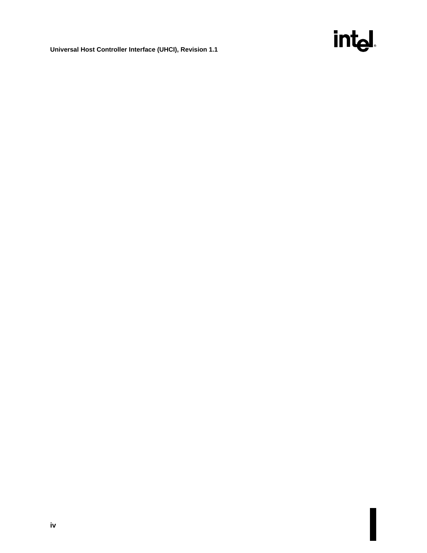intd.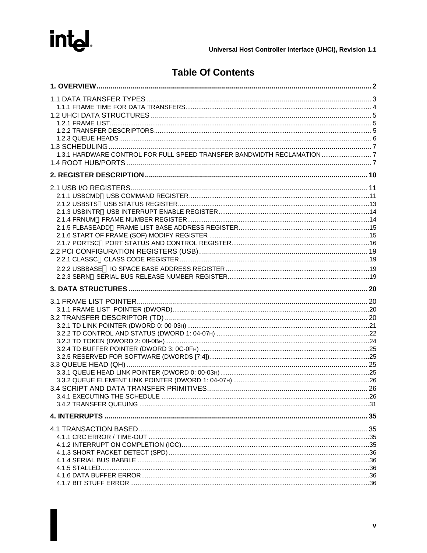# intd.

# **Table Of Contents**

| 1.3.1 HARDWARE CONTROL FOR FULL SPEED TRANSFER BANDWIDTH RECLAMATION7 |  |
|-----------------------------------------------------------------------|--|
|                                                                       |  |
|                                                                       |  |
|                                                                       |  |
|                                                                       |  |
|                                                                       |  |
|                                                                       |  |
|                                                                       |  |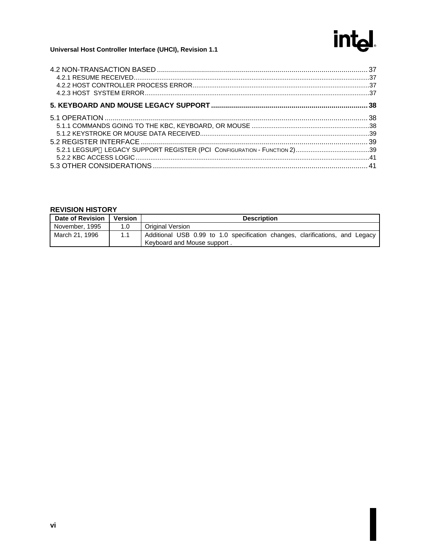# intel.

### **Universal Host Controller Interface (UHCI), Revision 1.1**

## **REVISION HISTORY**

| <b>Date of Revision</b> | <b>Version</b> | <b>Description</b>                                                                                          |
|-------------------------|----------------|-------------------------------------------------------------------------------------------------------------|
| November, 1995          | 1.0            | <b>Original Version</b>                                                                                     |
| March 21, 1996          |                | Additional USB 0.99 to 1.0 specification changes, clarifications, and Legacy<br>Keyboard and Mouse support. |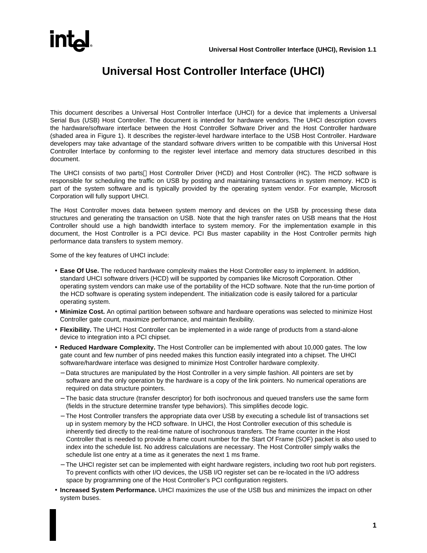

# **Universal Host Controller Interface (UHCI)**

This document describes a Universal Host Controller Interface (UHCI) for a device that implements a Universal Serial Bus (USB) Host Controller. The document is intended for hardware vendors. The UHCI description covers the hardware/software interface between the Host Controller Software Driver and the Host Controller hardware (shaded area in Figure 1). It describes the register-level hardware interface to the USB Host Controller. Hardware developers may take advantage of the standard software drivers written to be compatible with this Universal Host Controller Interface by conforming to the register level interface and memory data structures described in this document.

The UHCI consists of two parts—Host Controller Driver (HCD) and Host Controller (HC). The HCD software is responsible for scheduling the traffic on USB by posting and maintaining transactions in system memory. HCD is part of the system software and is typically provided by the operating system vendor. For example, Microsoft Corporation will fully support UHCI.

The Host Controller moves data between system memory and devices on the USB by processing these data structures and generating the transaction on USB. Note that the high transfer rates on USB means that the Host Controller should use a high bandwidth interface to system memory. For the implementation example in this document, the Host Controller is a PCI device. PCI Bus master capability in the Host Controller permits high performance data transfers to system memory.

Some of the key features of UHCI include:

- **Ease Of Use.** The reduced hardware complexity makes the Host Controller easy to implement. In addition, standard UHCI software drivers (HCD) will be supported by companies like Microsoft Corporation. Other operating system vendors can make use of the portability of the HCD software. Note that the run-time portion of the HCD software is operating system independent. The initialization code is easily tailored for a particular operating system.
- **Minimize Cost.** An optimal partition between software and hardware operations was selected to minimize Host Controller gate count, maximize performance, and maintain flexibility.
- **Flexibility.** The UHCI Host Controller can be implemented in a wide range of products from a stand-alone device to integration into a PCI chipset.
- **Reduced Hardware Complexity.** The Host Controller can be implemented with about 10,000 gates. The low gate count and few number of pins needed makes this function easily integrated into a chipset. The UHCI software/hardware interface was designed to minimize Host Controller hardware complexity.
	- − Data structures are manipulated by the Host Controller in a very simple fashion. All pointers are set by software and the only operation by the hardware is a copy of the link pointers. No numerical operations are required on data structure pointers.
	- − The basic data structure (transfer descriptor) for both isochronous and queued transfers use the same form (fields in the structure determine transfer type behaviors). This simplifies decode logic.
	- − The Host Controller transfers the appropriate data over USB by executing a schedule list of transactions set up in system memory by the HCD software. In UHCI, the Host Controller execution of this schedule is inherently tied directly to the real-time nature of isochronous transfers. The frame counter in the Host Controller that is needed to provide a frame count number for the Start Of Frame (SOF) packet is also used to index into the schedule list. No address calculations are necessary. The Host Controller simply walks the schedule list one entry at a time as it generates the next 1 ms frame.
	- − The UHCI register set can be implemented with eight hardware registers, including two root hub port registers. To prevent conflicts with other I/O devices, the USB I/O register set can be re-located in the I/O address space by programming one of the Host Controller's PCI configuration registers.
- **Increased System Performance.** UHCI maximizes the use of the USB bus and minimizes the impact on other system buses.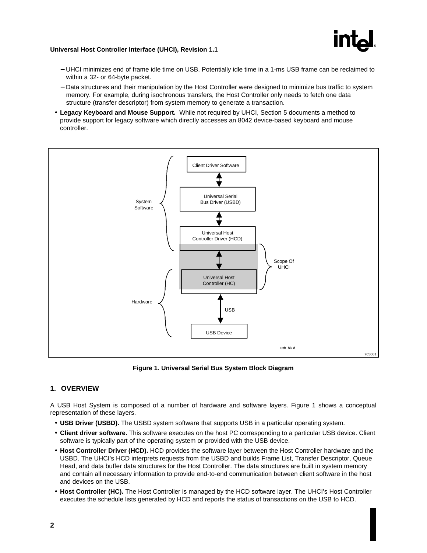

- <span id="page-7-0"></span>− UHCI minimizes end of frame idle time on USB. Potentially idle time in a 1-ms USB frame can be reclaimed to within a 32- or 64-byte packet.
- − Data structures and their manipulation by the Host Controller were designed to minimize bus traffic to system memory. For example, during isochronous transfers, the Host Controller only needs to fetch one data structure (transfer descriptor) from system memory to generate a transaction.
- **Legacy Keyboard and Mouse Support.** While not required by UHCI, Section 5 documents a method to provide support for legacy software which directly accesses an 8042 device-based keyboard and mouse controller.



**Figure 1. Universal Serial Bus System Block Diagram**

### **1. OVERVIEW**

A USB Host System is composed of a number of hardware and software layers. Figure 1 shows a conceptual representation of these layers.

- **USB Driver (USBD).** The USBD system software that supports USB in a particular operating system.
- **Client driver software.** This software executes on the host PC corresponding to a particular USB device. Client software is typically part of the operating system or provided with the USB device.
- **Host Controller Driver (HCD).** HCD provides the software layer between the Host Controller hardware and the USBD. The UHCI's HCD interprets requests from the USBD and builds Frame List, Transfer Descriptor, Queue Head, and data buffer data structures for the Host Controller. The data structures are built in system memory and contain all necessary information to provide end-to-end communication between client software in the host and devices on the USB.
- **Host Controller (HC).** The Host Controller is managed by the HCD software layer. The UHCI's Host Controller executes the schedule lists generated by HCD and reports the status of transactions on the USB to HCD.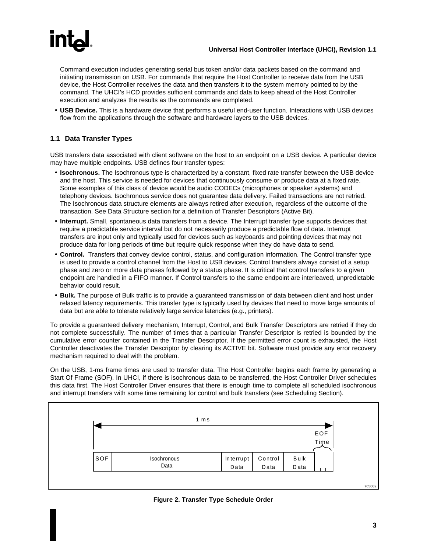<span id="page-8-0"></span>

Command execution includes generating serial bus token and/or data packets based on the command and initiating transmission on USB. For commands that require the Host Controller to receive data from the USB device, the Host Controller receives the data and then transfers it to the system memory pointed to by the command. The UHCI's HCD provides sufficient commands and data to keep ahead of the Host Controller execution and analyzes the results as the commands are completed.

• **USB Device.** This is a hardware device that performs a useful end-user function. Interactions with USB devices flow from the applications through the software and hardware layers to the USB devices.

## **1.1 Data Transfer Types**

USB transfers data associated with client software on the host to an endpoint on a USB device. A particular device may have multiple endpoints. USB defines four transfer types:

- **Isochronous.** The Isochronous type is characterized by a constant, fixed rate transfer between the USB device and the host. This service is needed for devices that continuously consume or produce data at a fixed rate. Some examples of this class of device would be audio CODECs (microphones or speaker systems) and telephony devices. Isochronous service does not guarantee data delivery. Failed transactions are not retried. The Isochronous data structure elements are always retired after execution, regardless of the outcome of the transaction. See Data Structure section for a definition of Transfer Descriptors (Active Bit).
- **Interrupt.** Small, spontaneous data transfers from a device. The Interrupt transfer type supports devices that require a predictable service interval but do not necessarily produce a predictable flow of data. Interrupt transfers are input only and typically used for devices such as keyboards and pointing devices that may not produce data for long periods of time but require quick response when they do have data to send.
- **Control.** Transfers that convey device control, status, and configuration information. The Control transfer type is used to provide a control channel from the Host to USB devices. Control transfers always consist of a setup phase and zero or more data phases followed by a status phase. It is critical that control transfers to a given endpoint are handled in a FIFO manner. If Control transfers to the same endpoint are interleaved, unpredictable behavior could result.
- **Bulk.** The purpose of Bulk traffic is to provide a guaranteed transmission of data between client and host under relaxed latency requirements. This transfer type is typically used by devices that need to move large amounts of data but are able to tolerate relatively large service latencies (e.g., printers).

To provide a guaranteed delivery mechanism, Interrupt, Control, and Bulk Transfer Descriptors are retried if they do not complete successfully. The number of times that a particular Transfer Descriptor is retried is bounded by the cumulative error counter contained in the Transfer Descriptor. If the permitted error count is exhausted, the Host Controller deactivates the Transfer Descriptor by clearing its ACTIVE bit. Software must provide any error recovery mechanism required to deal with the problem.

On the USB, 1-ms frame times are used to transfer data. The Host Controller begins each frame by generating a Start Of Frame (SOF). In UHCI, if there is isochronous data to be transferred, the Host Controller Driver schedules this data first. The Host Controller Driver ensures that there is enough time to complete all scheduled isochronous and interrupt transfers with some time remaining for control and bulk transfers (see Scheduling Section).



**Figure 2. Transfer Type Schedule Order**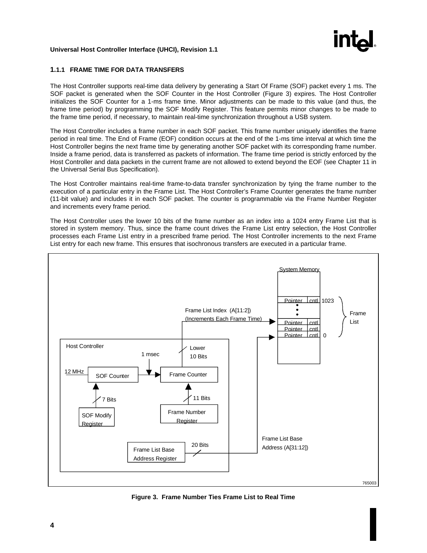# **R**

#### <span id="page-9-0"></span>**Universal Host Controller Interface (UHCI), Revision 1.1**

#### **1.1.1 FRAME TIME FOR DATA TRANSFERS**

The Host Controller supports real-time data delivery by generating a Start Of Frame (SOF) packet every 1 ms. The SOF packet is generated when the SOF Counter in the Host Controller (Figure 3) expires. The Host Controller initializes the SOF Counter for a 1-ms frame time. Minor adjustments can be made to this value (and thus, the frame time period) by programming the SOF Modify Register. This feature permits minor changes to be made to the frame time period, if necessary, to maintain real-time synchronization throughout a USB system.

The Host Controller includes a frame number in each SOF packet. This frame number uniquely identifies the frame period in real time. The End of Frame (EOF) condition occurs at the end of the 1-ms time interval at which time the Host Controller begins the next frame time by generating another SOF packet with its corresponding frame number. Inside a frame period, data is transferred as packets of information. The frame time period is strictly enforced by the Host Controller and data packets in the current frame are not allowed to extend beyond the EOF (see Chapter 11 in the Universal Serial Bus Specification).

The Host Controller maintains real-time frame-to-data transfer synchronization by tying the frame number to the execution of a particular entry in the Frame List. The Host Controller's Frame Counter generates the frame number (11-bit value) and includes it in each SOF packet. The counter is programmable via the Frame Number Register and increments every frame period.

The Host Controller uses the lower 10 bits of the frame number as an index into a 1024 entry Frame List that is stored in system memory. Thus, since the frame count drives the Frame List entry selection, the Host Controller processes each Frame List entry in a prescribed frame period. The Host Controller increments to the next Frame List entry for each new frame. This ensures that isochronous transfers are executed in a particular frame.



**Figure 3. Frame Number Ties Frame List to Real Time**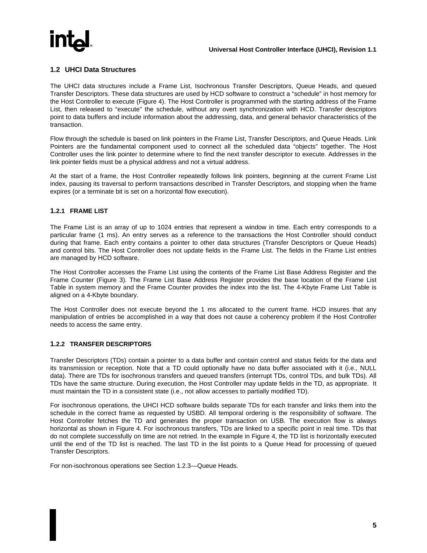<span id="page-10-0"></span>

### **1.2 UHCI Data Structures**

The UHCI data structures include a Frame List, Isochronous Transfer Descriptors, Queue Heads, and queued Transfer Descriptors. These data structures are used by HCD software to construct a "schedule" in host memory for the Host Controller to execute (Figure 4). The Host Controller is programmed with the starting address of the Frame List, then released to "execute" the schedule, without any overt synchronization with HCD. Transfer descriptors point to data buffers and include information about the addressing, data, and general behavior characteristics of the transaction.

Flow through the schedule is based on link pointers in the Frame List, Transfer Descriptors, and Queue Heads. Link Pointers are the fundamental component used to connect all the scheduled data "objects" together. The Host Controller uses the link pointer to determine where to find the next transfer descriptor to execute. Addresses in the link pointer fields must be a physical address and not a virtual address.

At the start of a frame, the Host Controller repeatedly follows link pointers, beginning at the current Frame List index, pausing its traversal to perform transactions described in Transfer Descriptors, and stopping when the frame expires (or a terminate bit is set on a horizontal flow execution).

#### **1.2.1 FRAME LIST**

The Frame List is an array of up to 1024 entries that represent a window in time. Each entry corresponds to a particular frame (1 ms). An entry serves as a reference to the transactions the Host Controller should conduct during that frame. Each entry contains a pointer to other data structures (Transfer Descriptors or Queue Heads) and control bits. The Host Controller does not update fields in the Frame List. The fields in the Frame List entries are managed by HCD software.

The Host Controller accesses the Frame List using the contents of the Frame List Base Address Register and the Frame Counter (Figure 3). The Frame List Base Address Register provides the base location of the Frame List Table in system memory and the Frame Counter provides the index into the list. The 4-Kbyte Frame List Table is aligned on a 4-Kbyte boundary.

The Host Controller does not execute beyond the 1 ms allocated to the current frame. HCD insures that any manipulation of entries be accomplished in a way that does not cause a coherency problem if the Host Controller needs to access the same entry.

#### **1.2.2 TRANSFER DESCRIPTORS**

Transfer Descriptors (TDs) contain a pointer to a data buffer and contain control and status fields for the data and its transmission or reception. Note that a TD could optionally have no data buffer associated with it (i.e., NULL data). There are TDs for isochronous transfers and queued transfers (interrupt TDs, control TDs, and bulk TDs). All TDs have the same structure. During execution, the Host Controller may update fields in the TD, as appropriate. It must maintain the TD in a consistent state (i.e., not allow accesses to partially modified TD).

For isochronous operations, the UHCI HCD software builds separate TDs for each transfer and links them into the schedule in the correct frame as requested by USBD. All temporal ordering is the responsibility of software. The Host Controller fetches the TD and generates the proper transaction on USB. The execution flow is always horizontal as shown in Figure 4. For isochronous transfers, TDs are linked to a specific point in real time. TDs that do not complete successfully on time are not retried. In the example in Figure 4, the TD list is horizontally executed until the end of the TD list is reached. The last TD in the list points to a Queue Head for processing of queued Transfer Descriptors.

For non-isochronous operations see Section 1.2.3—Queue Heads.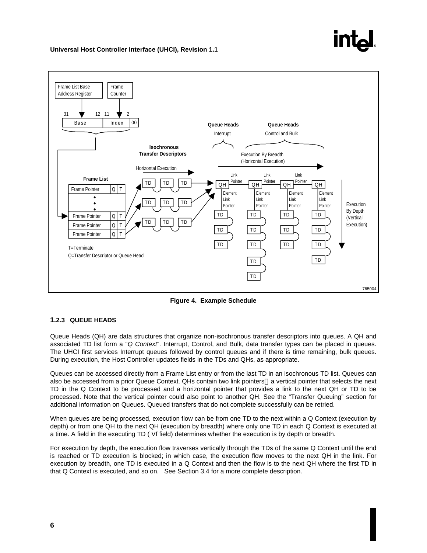# **R**

<span id="page-11-0"></span>

**Figure 4. Example Schedule**

### **1.2.3 QUEUE HEADS**

Queue Heads (QH) are data structures that organize non-isochronous transfer descriptors into queues. A QH and associated TD list form a "Q Context". Interrupt, Control, and Bulk, data transfer types can be placed in queues. The UHCI first services Interrupt queues followed by control queues and if there is time remaining, bulk queues. During execution, the Host Controller updates fields in the TDs and QHs, as appropriate.

Queues can be accessed directly from a Frame List entry or from the last TD in an isochronous TD list. Queues can also be accessed from a prior Queue Context. QHs contain two link pointers—a vertical pointer that selects the next TD in the Q Context to be processed and a horizontal pointer that provides a link to the next QH or TD to be processed. Note that the vertical pointer could also point to another QH. See the "Transfer Queuing" section for additional information on Queues. Queued transfers that do not complete successfully can be retried.

When queues are being processed, execution flow can be from one TD to the next within a Q Context (execution by depth) or from one QH to the next QH (execution by breadth) where only one TD in each Q Context is executed at a time. A field in the executing TD ( Vf field) determines whether the execution is by depth or breadth.

For execution by depth, the execution flow traverses vertically through the TDs of the same Q Context until the end is reached or TD execution is blocked; in which case, the execution flow moves to the next QH in the link. For execution by breadth, one TD is executed in a Q Context and then the flow is to the next QH where the first TD in that Q Context is executed, and so on. See Section 3.4 for a more complete description.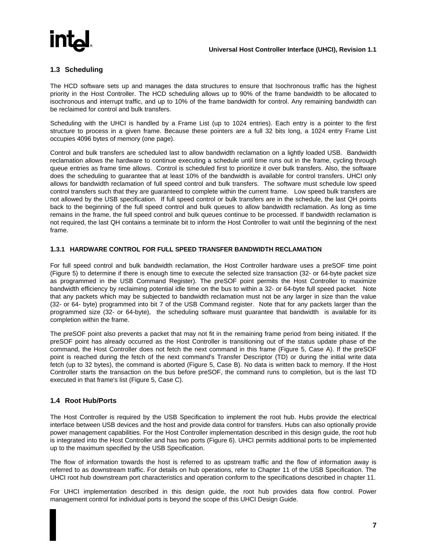<span id="page-12-0"></span>

#### **1.3 Scheduling**

The HCD software sets up and manages the data structures to ensure that Isochronous traffic has the highest priority in the Host Controller. The HCD scheduling allows up to 90% of the frame bandwidth to be allocated to isochronous and interrupt traffic, and up to 10% of the frame bandwidth for control. Any remaining bandwidth can be reclaimed for control and bulk transfers.

Scheduling with the UHCI is handled by a Frame List (up to 1024 entries). Each entry is a pointer to the first structure to process in a given frame. Because these pointers are a full 32 bits long, a 1024 entry Frame List occupies 4096 bytes of memory (one page).

Control and bulk transfers are scheduled last to allow bandwidth reclamation on a lightly loaded USB. Bandwidth reclamation allows the hardware to continue executing a schedule until time runs out in the frame, cycling through queue entries as frame time allows. Control is scheduled first to prioritize it over bulk transfers. Also, the software does the scheduling to guarantee that at least 10% of the bandwidth is available for control transfers. UHCI only allows for bandwidth reclamation of full speed control and bulk transfers. The software must schedule low speed control transfers such that they are guaranteed to complete within the current frame. Low speed bulk transfers are not allowed by the USB specification. If full speed control or bulk transfers are in the schedule, the last QH points back to the beginning of the full speed control and bulk queues to allow bandwidth reclamation. As long as time remains in the frame, the full speed control and bulk queues continue to be processed. If bandwidth reclamation is not required, the last QH contains a terminate bit to inform the Host Controller to wait until the beginning of the next frame.

#### **1.3.1 HARDWARE CONTROL FOR FULL SPEED TRANSFER BANDWIDTH RECLAMATION**

For full speed control and bulk bandwidth reclamation, the Host Controller hardware uses a preSOF time point (Figure 5) to determine if there is enough time to execute the selected size transaction (32- or 64-byte packet size as programmed in the USB Command Register). The preSOF point permits the Host Controller to maximize bandwidth efficiency by reclaiming potential idle time on the bus to within a 32- or 64-byte full speed packet. Note that any packets which may be subjected to bandwidth reclamation must not be any larger in size than the value (32- or 64- byte) programmed into bit 7 of the USB Command register. Note that for any packets larger than the programmed size (32- or 64-byte), the scheduling software must guarantee that bandwidth is available for its completion within the frame.

The preSOF point also prevents a packet that may not fit in the remaining frame period from being initiated. If the preSOF point has already occurred as the Host Controller is transitioning out of the status update phase of the command, the Host Controller does not fetch the next command in this frame (Figure 5, Case A). If the preSOF point is reached during the fetch of the next command's Transfer Descriptor (TD) or during the initial write data fetch (up to 32 bytes), the command is aborted (Figure 5, Case B). No data is written back to memory. If the Host Controller starts the transaction on the bus before preSOF, the command runs to completion, but is the last TD executed in that frame's list (Figure 5, Case C).

#### **1.4 Root Hub/Ports**

The Host Controller is required by the USB Specification to implement the root hub. Hubs provide the electrical interface between USB devices and the host and provide data control for transfers. Hubs can also optionally provide power management capabilities. For the Host Controller implementation described in this design guide, the root hub is integrated into the Host Controller and has two ports (Figure 6). UHCI permits additional ports to be implemented up to the maximum specified by the USB Specification.

The flow of information towards the host is referred to as upstream traffic and the flow of information away is referred to as downstream traffic. For details on hub operations, refer to Chapter 11 of the USB Specification. The UHCI root hub downstream port characteristics and operation conform to the specifications described in chapter 11.

For UHCI implementation described in this design guide, the root hub provides data flow control. Power management control for individual ports is beyond the scope of this UHCI Design Guide.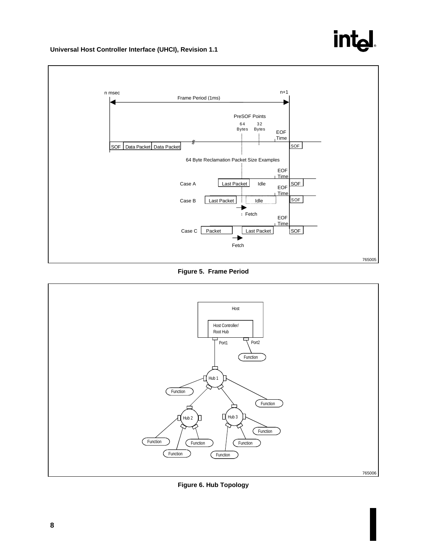# int<sub>el</sub>

#### **Universal Host Controller Interface (UHCI), Revision 1.1**







**Figure 6. Hub Topology**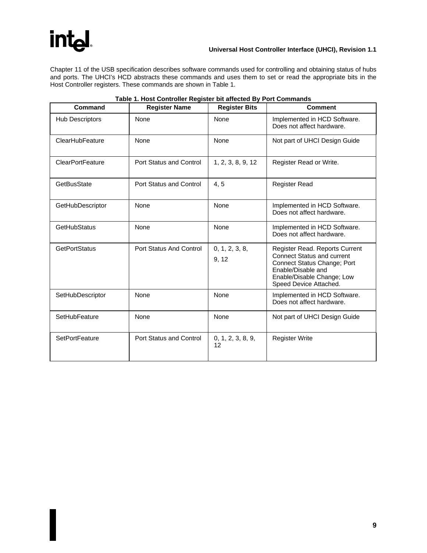# int<sub>el</sub>

#### **Universal Host Controller Interface (UHCI), Revision 1.1**

Chapter 11 of the USB specification describes software commands used for controlling and obtaining status of hubs and ports. The UHCI's HCD abstracts these commands and uses them to set or read the appropriate bits in the Host Controller registers. These commands are shown in Table 1.

| Command                 | <b>Register Name</b>    | <b>Register Bits</b>    | <b>Comment</b>                                                                                                                                                                   |
|-------------------------|-------------------------|-------------------------|----------------------------------------------------------------------------------------------------------------------------------------------------------------------------------|
| <b>Hub Descriptors</b>  | None                    | <b>None</b>             | Implemented in HCD Software.<br>Does not affect hardware.                                                                                                                        |
| ClearHubFeature         | None                    | None                    | Not part of UHCI Design Guide                                                                                                                                                    |
| <b>ClearPortFeature</b> | Port Status and Control | 1, 2, 3, 8, 9, 12       | Register Read or Write.                                                                                                                                                          |
| GetBusState             | Port Status and Control | 4, 5                    | <b>Register Read</b>                                                                                                                                                             |
| GetHubDescriptor        | None                    | None                    | Implemented in HCD Software.<br>Does not affect hardware.                                                                                                                        |
| <b>GetHubStatus</b>     | None                    | None                    | Implemented in HCD Software.<br>Does not affect hardware.                                                                                                                        |
| <b>GetPortStatus</b>    | Port Status And Control | 0, 1, 2, 3, 8,<br>9, 12 | Register Read. Reports Current<br><b>Connect Status and current</b><br>Connect Status Change; Port<br>Enable/Disable and<br>Enable/Disable Change; Low<br>Speed Device Attached. |
| SetHubDescriptor        | None                    | None                    | Implemented in HCD Software.<br>Does not affect hardware.                                                                                                                        |
| SetHubFeature           | None                    | None                    | Not part of UHCI Design Guide                                                                                                                                                    |
| SetPortFeature          | Port Status and Control | 0, 1, 2, 3, 8, 9,<br>12 | <b>Register Write</b>                                                                                                                                                            |

#### **Table 1. Host Controller Register bit affected By Port Commands**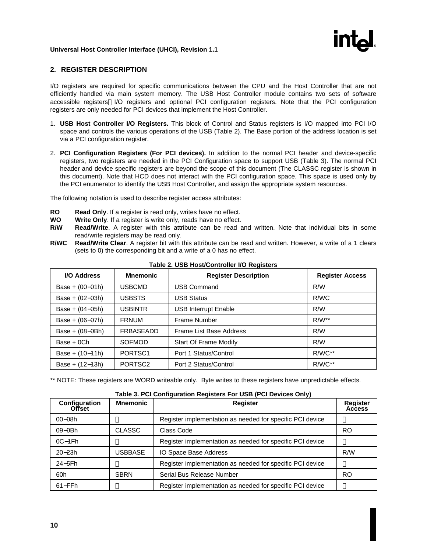

#### <span id="page-15-0"></span>**2. REGISTER DESCRIPTION**

I/O registers are required for specific communications between the CPU and the Host Controller that are not efficiently handled via main system memory. The USB Host Controller module contains two sets of software accessible registers-I/O registers and optional PCI configuration registers. Note that the PCI configuration registers are only needed for PCI devices that implement the Host Controller.

- 1. **USB Host Controller I/O Registers.** This block of Control and Status registers is I/O mapped into PCI I/O space and controls the various operations of the USB (Table 2). The Base portion of the address location is set via a PCI configuration register.
- 2. **PCI Configuration Registers (For PCI devices).** In addition to the normal PCI header and device-specific registers, two registers are needed in the PCI Configuration space to support USB (Table 3). The normal PCI header and device specific registers are beyond the scope of this document (The CLASSC register is shown in this document). Note that HCD does not interact with the PCI configuration space. This space is used only by the PCI enumerator to identify the USB Host Controller, and assign the appropriate system resources.

The following notation is used to describe register access attributes:

- **RO Read Only**. If a register is read only, writes have no effect.
- **WO Write Only**. If a register is write only, reads have no effect.
- **R/W Read/Write**. A register with this attribute can be read and written. Note that individual bits in some read/write registers may be read only.
- **R/WC Read/Write Clear**. A register bit with this attribute can be read and written. However, a write of a 1 clears (sets to 0) the corresponding bit and a write of a 0 has no effect.

| <b>I/O Address</b> | <b>Mnemonic</b>     | <b>Register Description</b>  | <b>Register Access</b> |
|--------------------|---------------------|------------------------------|------------------------|
| Base + $(00-01h)$  | USBCMD              | <b>USB Command</b>           | R/W                    |
| Base + $(02-03h)$  | USBSTS              | <b>USB Status</b>            | R/WC                   |
| Base + $(04-05h)$  | <b>USBINTR</b>      | <b>USB Interrupt Enable</b>  | R/W                    |
| Base + $(06-07h)$  | <b>FRNUM</b>        | Frame Number                 | $R/W^{**}$             |
| Base + $(08-0Bh)$  | FRBASEADD           | Frame List Base Address      | R/W                    |
| Base + 0Ch         | <b>SOFMOD</b>       | <b>Start Of Frame Modify</b> | R/W                    |
| Base + $(10-11h)$  | PORTSC <sub>1</sub> | Port 1 Status/Control        | $R/WC**$               |
| Base + $(12-13h)$  | PORTSC <sub>2</sub> | Port 2 Status/Control        | $R/WC**$               |

#### **Table 2. USB Host/Controller I/O Registers**

\*\* NOTE: These registers are WORD writeable only. Byte writes to these registers have unpredictable effects.

#### **Table 3. PCI Configuration Registers For USB (PCI Devices Only)**

| Configuration<br>Offset | <b>Mnemonic</b> | <b>Register</b>                                           | <b>Register</b><br><b>Access</b> |
|-------------------------|-----------------|-----------------------------------------------------------|----------------------------------|
| $00 - 08h$              |                 | Register implementation as needed for specific PCI device |                                  |
| $09-0Bh$                | <b>CLASSC</b>   | Class Code                                                | RO.                              |
| $OC-1Fh$                |                 | Register implementation as needed for specific PCI device |                                  |
| $20 - 23h$              | USBBASE         | IO Space Base Address                                     | R/W                              |
| 24-5Fh                  |                 | Register implementation as needed for specific PCI device |                                  |
| 60h                     | <b>SBRN</b>     | Serial Bus Release Number                                 | RO.                              |
| $61 - FFh$              |                 | Register implementation as needed for specific PCI device |                                  |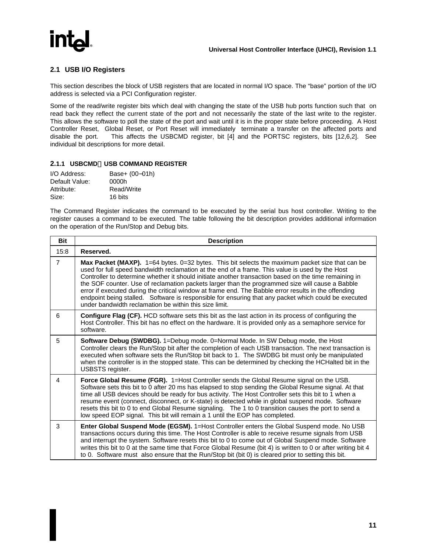### <span id="page-16-0"></span>**2.1 USB I/O Registers**

This section describes the block of USB registers that are located in normal I/O space. The "base" portion of the I/O address is selected via a PCI Configuration register.

Some of the read/write register bits which deal with changing the state of the USB hub ports function such that on read back they reflect the current state of the port and not necessarily the state of the last write to the register. This allows the software to poll the state of the port and wait until it is in the proper state before proceeding. A Host Controller Reset, Global Reset, or Port Reset will immediately terminate a transfer on the affected ports and disable the port. This affects the USBCMD register, bit [4] and the PORTSC registers, bits [12,6,2]. See individual bit descriptions for more detail.

#### **2.1.1 USBCMDUSB COMMAND REGISTER**

| Base+ (00-01h) |
|----------------|
| 0000h          |
| Read/Write     |
| 16 bits        |
|                |

The Command Register indicates the command to be executed by the serial bus host controller. Writing to the register causes a command to be executed. The table following the bit description provides additional information on the operation of the Run/Stop and Debug bits.

| <b>Bit</b>     | <b>Description</b>                                                                                                                                                                                                                                                                                                                                                                                                                                                                                                                                                                                                                                                                       |
|----------------|------------------------------------------------------------------------------------------------------------------------------------------------------------------------------------------------------------------------------------------------------------------------------------------------------------------------------------------------------------------------------------------------------------------------------------------------------------------------------------------------------------------------------------------------------------------------------------------------------------------------------------------------------------------------------------------|
| 15:8           | Reserved.                                                                                                                                                                                                                                                                                                                                                                                                                                                                                                                                                                                                                                                                                |
| $\overline{7}$ | Max Packet (MAXP). 1=64 bytes. 0=32 bytes. This bit selects the maximum packet size that can be<br>used for full speed bandwidth reclamation at the end of a frame. This value is used by the Host<br>Controller to determine whether it should initiate another transaction based on the time remaining in<br>the SOF counter. Use of reclamation packets larger than the programmed size will cause a Babble<br>error if executed during the critical window at frame end. The Babble error results in the offending<br>endpoint being stalled. Software is responsible for ensuring that any packet which could be executed<br>under bandwidth reclamation be within this size limit. |
| 6              | <b>Configure Flag (CF).</b> HCD software sets this bit as the last action in its process of configuring the<br>Host Controller. This bit has no effect on the hardware. It is provided only as a semaphore service for<br>software.                                                                                                                                                                                                                                                                                                                                                                                                                                                      |
| 5              | Software Debug (SWDBG). 1=Debug mode. 0=Normal Mode. In SW Debug mode, the Host<br>Controller clears the Run/Stop bit after the completion of each USB transaction. The next transaction is<br>executed when software sets the Run/Stop bit back to 1. The SWDBG bit must only be manipulated<br>when the controller is in the stopped state. This can be determined by checking the HCHalted bit in the<br>USBSTS register.                                                                                                                                                                                                                                                             |
| 4              | Force Global Resume (FGR). 1=Host Controller sends the Global Resume signal on the USB.<br>Software sets this bit to 0 after 20 ms has elapsed to stop sending the Global Resume signal. At that<br>time all USB devices should be ready for bus activity. The Host Controller sets this bit to 1 when a<br>resume event (connect, disconnect, or K-state) is detected while in global suspend mode. Software<br>resets this bit to 0 to end Global Resume signaling. The 1 to 0 transition causes the port to send a<br>low speed EOP signal. This bit will remain a 1 until the EOP has completed.                                                                                     |
| 3              | Enter Global Suspend Mode (EGSM). 1=Host Controller enters the Global Suspend mode. No USB<br>transactions occurs during this time. The Host Controller is able to receive resume signals from USB<br>and interrupt the system. Software resets this bit to 0 to come out of Global Suspend mode. Software<br>writes this bit to 0 at the same time that Force Global Resume (bit 4) is written to 0 or after writing bit 4<br>to 0. Software must also ensure that the Run/Stop bit (bit 0) is cleared prior to setting this bit.                                                                                                                                                       |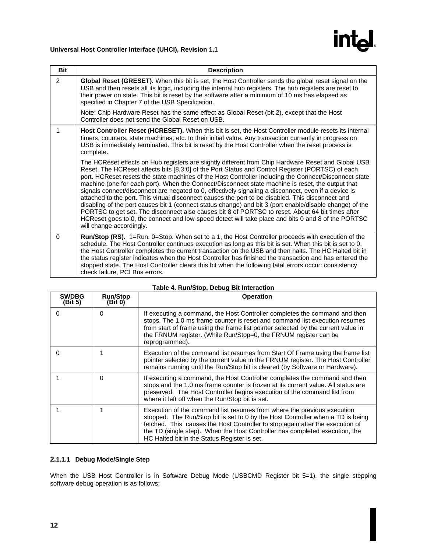# intel.

## **Universal Host Controller Interface (UHCI), Revision 1.1**

| <b>Bit</b>     | <b>Description</b>                                                                                                                                                                                                                                                                                                                                                                                                                                                                                                                                                                                                                                                                                                                                                                                                                                                                                                                                                                  |
|----------------|-------------------------------------------------------------------------------------------------------------------------------------------------------------------------------------------------------------------------------------------------------------------------------------------------------------------------------------------------------------------------------------------------------------------------------------------------------------------------------------------------------------------------------------------------------------------------------------------------------------------------------------------------------------------------------------------------------------------------------------------------------------------------------------------------------------------------------------------------------------------------------------------------------------------------------------------------------------------------------------|
| $\overline{2}$ | Global Reset (GRESET). When this bit is set, the Host Controller sends the global reset signal on the<br>USB and then resets all its logic, including the internal hub registers. The hub registers are reset to<br>their power on state. This bit is reset by the software after a minimum of 10 ms has elapsed as<br>specified in Chapter 7 of the USB Specification.                                                                                                                                                                                                                                                                                                                                                                                                                                                                                                                                                                                                             |
|                | Note: Chip Hardware Reset has the same effect as Global Reset (bit 2), except that the Host<br>Controller does not send the Global Reset on USB.                                                                                                                                                                                                                                                                                                                                                                                                                                                                                                                                                                                                                                                                                                                                                                                                                                    |
| 1              | Host Controller Reset (HCRESET). When this bit is set, the Host Controller module resets its internal<br>timers, counters, state machines, etc. to their initial value. Any transaction currently in progress on<br>USB is immediately terminated. This bit is reset by the Host Controller when the reset process is<br>complete.                                                                                                                                                                                                                                                                                                                                                                                                                                                                                                                                                                                                                                                  |
|                | The HCReset effects on Hub registers are slightly different from Chip Hardware Reset and Global USB<br>Reset. The HCReset affects bits [8,3:0] of the Port Status and Control Register (PORTSC) of each<br>port. HCReset resets the state machines of the Host Controller including the Connect/Disconnect state<br>machine (one for each port). When the Connect/Disconnect state machine is reset, the output that<br>signals connect/disconnect are negated to 0, effectively signaling a disconnect, even if a device is<br>attached to the port. This virtual disconnect causes the port to be disabled. This disconnect and<br>disabling of the port causes bit 1 (connect status change) and bit 3 (port enable/disable change) of the<br>PORTSC to get set. The disconnect also causes bit 8 of PORTSC to reset. About 64 bit times after<br>HCReset goes to 0, the connect and low-speed detect will take place and bits 0 and 8 of the PORTSC<br>will change accordingly. |
| $\Omega$       | <b>Run/Stop (RS).</b> 1=Run. 0=Stop. When set to a 1, the Host Controller proceeds with execution of the<br>schedule. The Host Controller continues execution as long as this bit is set. When this bit is set to 0,<br>the Host Controller completes the current transaction on the USB and then halts. The HC Halted bit in<br>the status register indicates when the Host Controller has finished the transaction and has entered the<br>stopped state. The Host Controller clears this bit when the following fatal errors occur: consistency<br>check failure, PCI Bus errors.                                                                                                                                                                                                                                                                                                                                                                                                 |

| <b>SWDBG</b><br>(Bit 5) | <b>Run/Stop</b><br>(Bit 0) | <b>Operation</b>                                                                                                                                                                                                                                                                                                                                                           |
|-------------------------|----------------------------|----------------------------------------------------------------------------------------------------------------------------------------------------------------------------------------------------------------------------------------------------------------------------------------------------------------------------------------------------------------------------|
| O                       | 0                          | If executing a command, the Host Controller completes the command and then<br>stops. The 1.0 ms frame counter is reset and command list execution resumes<br>from start of frame using the frame list pointer selected by the current value in<br>the FRNUM register. (While Run/Stop=0, the FRNUM register can be<br>reprogrammed).                                       |
| O                       |                            | Execution of the command list resumes from Start Of Frame using the frame list<br>pointer selected by the current value in the FRNUM register. The Host Controller<br>remains running until the Run/Stop bit is cleared (by Software or Hardware).                                                                                                                         |
|                         | 0                          | If executing a command, the Host Controller completes the command and then<br>stops and the 1.0 ms frame counter is frozen at its current value. All status are<br>preserved. The Host Controller begins execution of the command list from<br>where it left off when the Run/Stop bit is set.                                                                             |
|                         |                            | Execution of the command list resumes from where the previous execution<br>stopped. The Run/Stop bit is set to 0 by the Host Controller when a TD is being<br>fetched. This causes the Host Controller to stop again after the execution of<br>the TD (single step). When the Host Controller has completed execution, the<br>HC Halted bit in the Status Register is set. |

### **Table 4. Run/Stop, Debug Bit Interaction**

## **2.1.1.1 Debug Mode/Single Step**

When the USB Host Controller is in Software Debug Mode (USBCMD Register bit 5=1), the single stepping software debug operation is as follows: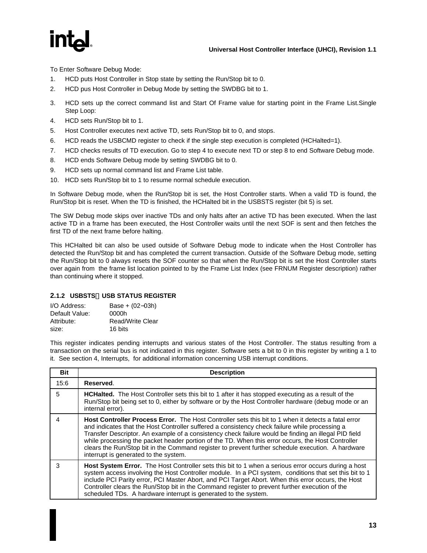# <span id="page-18-0"></span>**R**

To Enter Software Debug Mode:

- 1. HCD puts Host Controller in Stop state by setting the Run/Stop bit to 0.
- 2. HCD pus Host Controller in Debug Mode by setting the SWDBG bit to 1.
- 3. HCD sets up the correct command list and Start Of Frame value for starting point in the Frame List.Single Step Loop:
- 4. HCD sets Run/Stop bit to 1.
- 5. Host Controller executes next active TD, sets Run/Stop bit to 0, and stops.
- 6. HCD reads the USBCMD register to check if the single step execution is completed (HCHalted=1).
- 7. HCD checks results of TD execution. Go to step 4 to execute next TD or step 8 to end Software Debug mode.
- 8. HCD ends Software Debug mode by setting SWDBG bit to 0.
- 9. HCD sets up normal command list and Frame List table.
- 10. HCD sets Run/Stop bit to 1 to resume normal schedule execution.

In Software Debug mode, when the Run/Stop bit is set, the Host Controller starts. When a valid TD is found, the Run/Stop bit is reset. When the TD is finished, the HCHalted bit in the USBSTS register (bit 5) is set.

The SW Debug mode skips over inactive TDs and only halts after an active TD has been executed. When the last active TD in a frame has been executed, the Host Controller waits until the next SOF is sent and then fetches the first TD of the next frame before halting.

This HCHalted bit can also be used outside of Software Debug mode to indicate when the Host Controller has detected the Run/Stop bit and has completed the current transaction. Outside of the Software Debug mode, setting the Run/Stop bit to 0 always resets the SOF counter so that when the Run/Stop bit is set the Host Controller starts over again from the frame list location pointed to by the Frame List Index (see FRNUM Register description) rather than continuing where it stopped.

#### **2.1.2 USBSTSUSB STATUS REGISTER**

| I/O Address:   | Base + $(02-03h)$       |
|----------------|-------------------------|
| Default Value: | 0000h                   |
| Attribute:     | <b>Read/Write Clear</b> |
| size:          | 16 bits                 |

This register indicates pending interrupts and various states of the Host Controller. The status resulting from a transaction on the serial bus is not indicated in this register. Software sets a bit to 0 in this register by writing a 1 to it. See section 4, Interrupts, for additional information concerning USB interrupt conditions.

| <b>Bit</b> | <b>Description</b>                                                                                                                                                                                                                                                                                                                                                                                                                                                                                                                                                      |
|------------|-------------------------------------------------------------------------------------------------------------------------------------------------------------------------------------------------------------------------------------------------------------------------------------------------------------------------------------------------------------------------------------------------------------------------------------------------------------------------------------------------------------------------------------------------------------------------|
| 15:6       | Reserved.                                                                                                                                                                                                                                                                                                                                                                                                                                                                                                                                                               |
| 5          | <b>HCHalted.</b> The Host Controller sets this bit to 1 after it has stopped executing as a result of the<br>Run/Stop bit being set to 0, either by software or by the Host Controller hardware (debug mode or an<br>internal error).                                                                                                                                                                                                                                                                                                                                   |
|            | <b>Host Controller Process Error.</b> The Host Controller sets this bit to 1 when it detects a fatal error<br>and indicates that the Host Controller suffered a consistency check failure while processing a<br>Transfer Descriptor. An example of a consistency check failure would be finding an illegal PID field<br>while processing the packet header portion of the TD. When this error occurs, the Host Controller<br>clears the Run/Stop bit in the Command register to prevent further schedule execution. A hardware<br>interrupt is generated to the system. |
|            | <b>Host System Error.</b> The Host Controller sets this bit to 1 when a serious error occurs during a host<br>system access involving the Host Controller module. In a PCI system, conditions that set this bit to 1<br>include PCI Parity error, PCI Master Abort, and PCI Target Abort. When this error occurs, the Host<br>Controller clears the Run/Stop bit in the Command register to prevent further execution of the<br>scheduled TDs. A hardware interrupt is generated to the system.                                                                         |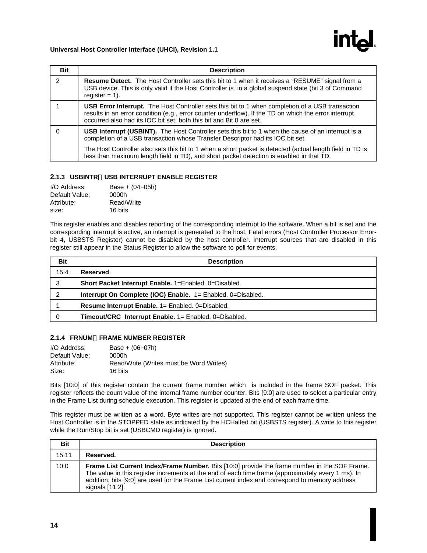# **R**

#### <span id="page-19-0"></span>**Universal Host Controller Interface (UHCI), Revision 1.1**

| <b>Bit</b>    | <b>Description</b>                                                                                                                                                                                                                                                                      |
|---------------|-----------------------------------------------------------------------------------------------------------------------------------------------------------------------------------------------------------------------------------------------------------------------------------------|
| $\mathcal{P}$ | <b>Resume Detect.</b> The Host Controller sets this bit to 1 when it receives a "RESUME" signal from a<br>USB device. This is only valid if the Host Controller is in a global suspend state (bit 3 of Command<br>register $= 1$ ).                                                     |
|               | <b>USB Error Interrupt.</b> The Host Controller sets this bit to 1 when completion of a USB transaction<br>results in an error condition (e.g., error counter underflow). If the TD on which the error interrupt<br>occurred also had its IOC bit set, both this bit and Bit 0 are set. |
|               | USB Interrupt (USBINT). The Host Controller sets this bit to 1 when the cause of an interrupt is a<br>completion of a USB transaction whose Transfer Descriptor had its IOC bit set.                                                                                                    |
|               | The Host Controller also sets this bit to 1 when a short packet is detected (actual length field in TD is<br>less than maximum length field in TD), and short packet detection is enabled in that TD.                                                                                   |

#### **2.1.3 USBINTR-USB INTERRUPT ENABLE REGISTER**

| I/O Address:   | Base + $(04-05h)$ |
|----------------|-------------------|
| Default Value: | 0000h             |
| Attribute:     | Read/Write        |
| size:          | 16 bits           |

This register enables and disables reporting of the corresponding interrupt to the software. When a bit is set and the corresponding interrupt is active, an interrupt is generated to the host. Fatal errors (Host Controller Processor Errorbit 4, USBSTS Register) cannot be disabled by the host controller. Interrupt sources that are disabled in this register still appear in the Status Register to allow the software to poll for events.

| <b>Bit</b>    | <b>Description</b>                                          |
|---------------|-------------------------------------------------------------|
| 15:4          | Reserved.                                                   |
| 3             | Short Packet Interrupt Enable. 1=Enabled. 0=Disabled.       |
| $\mathcal{P}$ | Interrupt On Complete (IOC) Enable. 1= Enabled. 0=Disabled. |
|               | Resume Interrupt Enable. 1= Enabled. 0=Disabled.            |
|               | Timeout/CRC Interrupt Enable. 1= Enabled. 0=Disabled.       |

#### **2.1.4 FRNUMFRAME NUMBER REGISTER**

| I/O Address:   | Base + $(06-07h)$                       |
|----------------|-----------------------------------------|
| Default Value: | 0000h                                   |
| Attribute:     | Read/Write (Writes must be Word Writes) |
| Size:          | 16 bits                                 |

Bits [10:0] of this register contain the current frame number which is included in the frame SOF packet. This register reflects the count value of the internal frame number counter. Bits [9:0] are used to select a particular entry in the Frame List during schedule execution. This register is updated at the end of each frame time.

This register must be written as a word. Byte writes are not supported. This register cannot be written unless the Host Controller is in the STOPPED state as indicated by the HCHalted bit (USBSTS register). A write to this register while the Run/Stop bit is set (USBCMD register) is ignored.

| <b>Bit</b> | <b>Description</b>                                                                                                                                                                                                                                                                                                               |
|------------|----------------------------------------------------------------------------------------------------------------------------------------------------------------------------------------------------------------------------------------------------------------------------------------------------------------------------------|
| 15:11      | Reserved.                                                                                                                                                                                                                                                                                                                        |
| 10:0       | <b>Frame List Current Index/Frame Number.</b> Bits [10:0] provide the frame number in the SOF Frame.<br>The value in this register increments at the end of each time frame (approximately every 1 ms). In<br>addition, bits [9:0] are used for the Frame List current index and correspond to memory address<br>signals [11:2]. |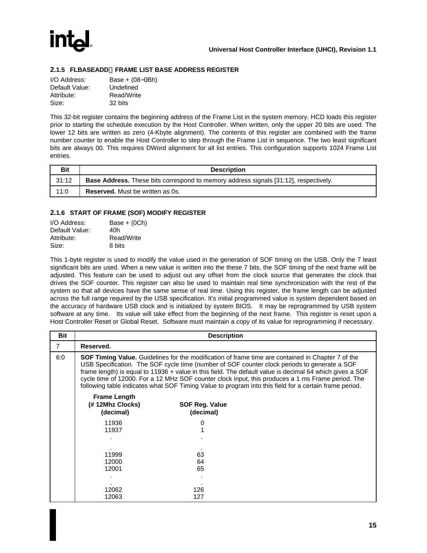<span id="page-20-0"></span>

#### **2.1.5 FLBASEADDFRAME LIST BASE ADDRESS REGISTER**

| $Base + (08 - 0Bh)$ |
|---------------------|
| Undefined           |
| Read/Write          |
| 32 bits             |
|                     |

This 32-bit register contains the beginning address of the Frame List in the system memory. HCD loads this register prior to starting the schedule execution by the Host Controller. When written, only the upper 20 bits are used. The lower 12 bits are written as zero (4-Kbyte alignment). The contents of this register are combined with the frame number counter to enable the Host Controller to step through the Frame List in sequence. The two least significant bits are always 00. This requires DWord alignment for all list entries. This configuration supports 1024 Frame List entries.

| <b>Bit</b> | <b>Description</b>                                                                          |
|------------|---------------------------------------------------------------------------------------------|
| 31:12      | <b>Base Address.</b> These bits correspond to memory address signals [31:12], respectively. |
| 11:0       | <b>Reserved.</b> Must be written as 0s.                                                     |

#### **2.1.6 START OF FRAME (SOF) MODIFY REGISTER**

| I/O Address:   | Base $+$ (0Ch) |
|----------------|----------------|
| Default Value: | 40h            |
| Attribute:     | Read/Write     |
| Size:          | 8 bits         |

This 1-byte register is used to modify the value used in the generation of SOF timing on the USB. Only the 7 least significant bits are used. When a new value is written into the these 7 bits, the SOF timing of the next frame will be adjusted. This feature can be used to adjust out any offset from the clock source that generates the clock that drives the SOF counter. This register can also be used to maintain real time synchronization with the rest of the system so that all devices have the same sense of real time. Using this register, the frame length can be adjusted across the full range required by the USB specification. It's initial programmed value is system dependent based on the accuracy of hardware USB clock and is initialized by system BIOS. It may be reprogrammed by USB system software at any time. Its value will take effect from the beginning of the next frame. This register is reset upon a Host Controller Reset or Global Reset. Software must maintain a copy of its value for reprogramming if necessary.

| <b>Bit</b> |                                                                                                                                                                                                                                                                                                                                                                                                                                                                                                                                     | <b>Description</b>                 |  |
|------------|-------------------------------------------------------------------------------------------------------------------------------------------------------------------------------------------------------------------------------------------------------------------------------------------------------------------------------------------------------------------------------------------------------------------------------------------------------------------------------------------------------------------------------------|------------------------------------|--|
| 7          | Reserved.                                                                                                                                                                                                                                                                                                                                                                                                                                                                                                                           |                                    |  |
| 6:0        | <b>SOF Timing Value.</b> Guidelines for the modification of frame time are contained in Chapter 7 of the<br>USB Specification. The SOF cycle time (number of SOF counter clock periods to generate a SOF<br>frame length) is equal to 11936 + value in this field. The default value is decimal 64 which gives a SOF<br>cycle time of 12000. For a 12 MHz SOF counter clock input, this produces a 1 ms Frame period. The<br>following table indicates what SOF Timing Value to program into this field for a certain frame period. |                                    |  |
|            | <b>Frame Length</b><br>(# 12Mhz Clocks)<br>(decimal)                                                                                                                                                                                                                                                                                                                                                                                                                                                                                | <b>SOF Reg. Value</b><br>(decimal) |  |
|            | 11936<br>11937                                                                                                                                                                                                                                                                                                                                                                                                                                                                                                                      | 0                                  |  |
|            |                                                                                                                                                                                                                                                                                                                                                                                                                                                                                                                                     |                                    |  |
|            | 11999<br>12000<br>12001                                                                                                                                                                                                                                                                                                                                                                                                                                                                                                             | 63<br>64<br>65                     |  |
|            |                                                                                                                                                                                                                                                                                                                                                                                                                                                                                                                                     |                                    |  |
|            | 12062<br>12063                                                                                                                                                                                                                                                                                                                                                                                                                                                                                                                      | 126<br>127                         |  |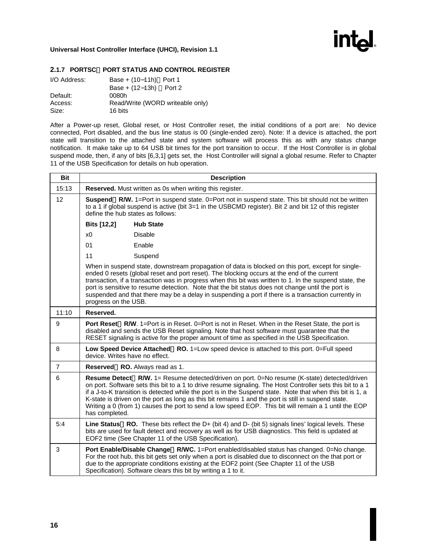<span id="page-21-0"></span>

|              | 2.1.7 PORTSC—PORT STATUS AND CONTROL REGISTER |
|--------------|-----------------------------------------------|
| I/O Address: | Base + (10-11h)-Port 1                        |
|              | Base + $(12-13h)$ - Port 2                    |
| Default:     | 0080h                                         |
| Access:      | Read/Write (WORD writeable only)              |
| Size:        | 16 bits                                       |

After a Power-up reset, Global reset, or Host Controller reset, the initial conditions of a port are: No device connected, Port disabled, and the bus line status is 00 (single-ended zero). Note: If a device is attached, the port state will transition to the attached state and system software will process this as with any status change notification. It make take up to 64 USB bit times for the port transition to occur. If the Host Controller is in global suspend mode, then, if any of bits [6,3,1] gets set, the Host Controller will signal a global resume. Refer to Chapter 11 of the USB Specification for details on hub operation.

**Pricide** 

| <b>Bit</b>     | <b>Description</b>                                                                                                                                                                                                                               |                                                                                                                                                                                                                                                                                                                                                                                                                                                                                                                                               |
|----------------|--------------------------------------------------------------------------------------------------------------------------------------------------------------------------------------------------------------------------------------------------|-----------------------------------------------------------------------------------------------------------------------------------------------------------------------------------------------------------------------------------------------------------------------------------------------------------------------------------------------------------------------------------------------------------------------------------------------------------------------------------------------------------------------------------------------|
| 15:13          |                                                                                                                                                                                                                                                  | Reserved. Must written as 0s when writing this register.                                                                                                                                                                                                                                                                                                                                                                                                                                                                                      |
| 12             | Suspend-R/W. 1=Port in suspend state. 0=Port not in suspend state. This bit should not be written<br>to a 1 if global suspend is active (bit 3=1 in the USBCMD register). Bit 2 and bit 12 of this register<br>define the hub states as follows: |                                                                                                                                                                                                                                                                                                                                                                                                                                                                                                                                               |
|                | Bits [12,2]                                                                                                                                                                                                                                      | <b>Hub State</b>                                                                                                                                                                                                                                                                                                                                                                                                                                                                                                                              |
|                | x <sub>0</sub>                                                                                                                                                                                                                                   | <b>Disable</b>                                                                                                                                                                                                                                                                                                                                                                                                                                                                                                                                |
|                | 01                                                                                                                                                                                                                                               | Enable                                                                                                                                                                                                                                                                                                                                                                                                                                                                                                                                        |
|                | 11                                                                                                                                                                                                                                               | Suspend                                                                                                                                                                                                                                                                                                                                                                                                                                                                                                                                       |
|                | progress on the USB.                                                                                                                                                                                                                             | When in suspend state, downstream propagation of data is blocked on this port, except for single-<br>ended 0 resets (global reset and port reset). The blocking occurs at the end of the current<br>transaction, if a transaction was in progress when this bit was written to 1. In the suspend state, the<br>port is sensitive to resume detection. Note that the bit status does not change until the port is<br>suspended and that there may be a delay in suspending a port if there is a transaction currently in                       |
| 11:10          | Reserved.                                                                                                                                                                                                                                        |                                                                                                                                                                                                                                                                                                                                                                                                                                                                                                                                               |
| 9              |                                                                                                                                                                                                                                                  | Port Reset-R/W. 1=Port is in Reset. 0=Port is not in Reset. When in the Reset State, the port is<br>disabled and sends the USB Reset signaling. Note that host software must guarantee that the<br>RESET signaling is active for the proper amount of time as specified in the USB Specification.                                                                                                                                                                                                                                             |
| 8              | device. Writes have no effect.                                                                                                                                                                                                                   | Low Speed Device Attached-RO. 1=Low speed device is attached to this port. 0=Full speed                                                                                                                                                                                                                                                                                                                                                                                                                                                       |
| $\overline{7}$ | Reserved-RO. Always read as 1.                                                                                                                                                                                                                   |                                                                                                                                                                                                                                                                                                                                                                                                                                                                                                                                               |
| 6              | has completed.                                                                                                                                                                                                                                   | <b>Resume Detect—R/W.</b> 1= Resume detected/driven on port. 0=No resume (K-state) detected/driven<br>on port. Software sets this bit to a 1 to drive resume signaling. The Host Controller sets this bit to a 1<br>if a J-to-K transition is detected while the port is in the Suspend state. Note that when this bit is 1, a<br>K-state is driven on the port as long as this bit remains 1 and the port is still in suspend state.<br>Writing a 0 (from 1) causes the port to send a low speed EOP. This bit will remain a 1 until the EOP |
| 5:4            |                                                                                                                                                                                                                                                  | Line Status-RO. These bits reflect the D+ (bit 4) and D- (bit 5) signals lines' logical levels. These<br>bits are used for fault detect and recovery as well as for USB diagnostics. This field is updated at<br>EOF2 time (See Chapter 11 of the USB Specification).                                                                                                                                                                                                                                                                         |
| 3              |                                                                                                                                                                                                                                                  | Port Enable/Disable Change-R/WC. 1=Port enabled/disabled status has changed. 0=No change.<br>For the root hub, this bit gets set only when a port is disabled due to disconnect on the that port or<br>due to the appropriate conditions existing at the EOF2 point (See Chapter 11 of the USB<br>Specification). Software clears this bit by writing a 1 to it.                                                                                                                                                                              |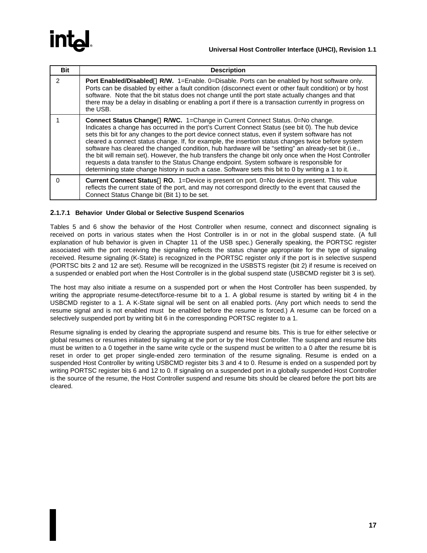| <b>Bit</b>    | <b>Description</b>                                                                                                                                                                                                                                                                                                                                                                                                                                                                                                                                                                                                                                                                                                                                                                                                      |
|---------------|-------------------------------------------------------------------------------------------------------------------------------------------------------------------------------------------------------------------------------------------------------------------------------------------------------------------------------------------------------------------------------------------------------------------------------------------------------------------------------------------------------------------------------------------------------------------------------------------------------------------------------------------------------------------------------------------------------------------------------------------------------------------------------------------------------------------------|
| $\mathcal{P}$ | Port Enabled/Disabled—R/W. 1=Enable. 0=Disable. Ports can be enabled by host software only.<br>Ports can be disabled by either a fault condition (disconnect event or other fault condition) or by host<br>software. Note that the bit status does not change until the port state actually changes and that<br>there may be a delay in disabling or enabling a port if there is a transaction currently in progress on<br>the USB.                                                                                                                                                                                                                                                                                                                                                                                     |
|               | <b>Connect Status Change—R/WC.</b> 1=Change in Current Connect Status. 0=No change.<br>Indicates a change has occurred in the port's Current Connect Status (see bit 0). The hub device<br>sets this bit for any changes to the port device connect status, even if system software has not<br>cleared a connect status change. If, for example, the insertion status changes twice before system<br>software has cleared the changed condition, hub hardware will be "setting" an already-set bit (i.e.,<br>the bit will remain set). However, the hub transfers the change bit only once when the Host Controller<br>requests a data transfer to the Status Change endpoint. System software is responsible for<br>determining state change history in such a case. Software sets this bit to 0 by writing a 1 to it. |
|               | <b>Current Connect Status-RO.</b> 1=Device is present on port. 0=No device is present. This value<br>reflects the current state of the port, and may not correspond directly to the event that caused the<br>Connect Status Change bit (Bit 1) to be set.                                                                                                                                                                                                                                                                                                                                                                                                                                                                                                                                                               |

#### **2.1.7.1 Behavior Under Global or Selective Suspend Scenarios**

Tables 5 and 6 show the behavior of the Host Controller when resume, connect and disconnect signaling is received on ports in various states when the Host Controller is in or not in the global suspend state. (A full explanation of hub behavior is given in Chapter 11 of the USB spec.) Generally speaking, the PORTSC register associated with the port receiving the signaling reflects the status change appropriate for the type of signaling received. Resume signaling (K-State) is recognized in the PORTSC register only if the port is in selective suspend (PORTSC bits 2 and 12 are set). Resume will be recognized in the USBSTS register (bit 2) if resume is received on a suspended or enabled port when the Host Controller is in the global suspend state (USBCMD register bit 3 is set).

The host may also initiate a resume on a suspended port or when the Host Controller has been suspended, by writing the appropriate resume-detect/force-resume bit to a 1. A global resume is started by writing bit 4 in the USBCMD register to a 1. A K-State signal will be sent on all enabled ports. (Any port which needs to send the resume signal and is not enabled must be enabled before the resume is forced.) A resume can be forced on a selectively suspended port by writing bit 6 in the corresponding PORTSC register to a 1.

Resume signaling is ended by clearing the appropriate suspend and resume bits. This is true for either selective or global resumes or resumes initiated by signaling at the port or by the Host Controller. The suspend and resume bits must be written to a 0 together in the same write cycle or the suspend must be written to a 0 after the resume bit is reset in order to get proper single-ended zero termination of the resume signaling. Resume is ended on a suspended Host Controller by writing USBCMD register bits 3 and 4 to 0. Resume is ended on a suspended port by writing PORTSC register bits 6 and 12 to 0. If signaling on a suspended port in a globally suspended Host Controller is the source of the resume, the Host Controller suspend and resume bits should be cleared before the port bits are cleared.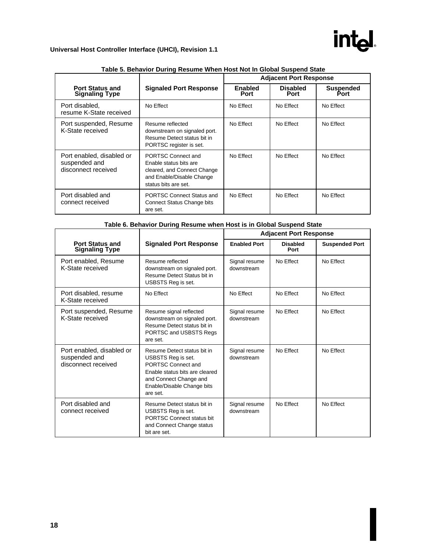# intd.

### **Universal Host Controller Interface (UHCI), Revision 1.1**

|                                                                   |                                                                                                                                  |                               | <b>Adjacent Port Response</b> |                          |
|-------------------------------------------------------------------|----------------------------------------------------------------------------------------------------------------------------------|-------------------------------|-------------------------------|--------------------------|
| <b>Port Status and</b><br><b>Signaling Type</b>                   | <b>Signaled Port Response</b>                                                                                                    | <b>Enabled</b><br><b>Port</b> | <b>Disabled</b><br>Port       | <b>Suspended</b><br>Port |
| Port disabled,<br>resume K-State received                         | No Effect                                                                                                                        | No Effect                     | No Effect                     | No Effect                |
| Port suspended, Resume<br>K-State received                        | Resume reflected<br>downstream on signaled port.<br>Resume Detect status bit in<br>PORTSC register is set.                       | No Effect                     | No Effect                     | No Effect                |
| Port enabled, disabled or<br>suspended and<br>disconnect received | PORTSC Connect and<br>Enable status bits are<br>cleared, and Connect Change<br>and Enable/Disable Change<br>status bits are set. | No Effect                     | No Effect                     | No Effect                |
| Port disabled and<br>connect received                             | <b>PORTSC Connect Status and</b><br><b>Connect Status Change bits</b><br>are set.                                                | No Effect                     | No Effect                     | No Effect                |

|--|

|                                                                   | Table 6. Behavior During Resume when Host is in Global Suspend State                                                                                                          |                             |                               |                       |
|-------------------------------------------------------------------|-------------------------------------------------------------------------------------------------------------------------------------------------------------------------------|-----------------------------|-------------------------------|-----------------------|
|                                                                   |                                                                                                                                                                               |                             | <b>Adjacent Port Response</b> |                       |
| <b>Port Status and</b><br><b>Signaling Type</b>                   | <b>Signaled Port Response</b>                                                                                                                                                 | <b>Enabled Port</b>         | <b>Disabled</b><br>Port       | <b>Suspended Port</b> |
| Port enabled, Resume<br>K-State received                          | Resume reflected<br>downstream on signaled port.<br>Resume Detect Status bit in<br>USBSTS Reg is set.                                                                         | Signal resume<br>downstream | No Effect                     | No Effect             |
| Port disabled, resume<br>K-State received                         | No Effect                                                                                                                                                                     | No Effect                   | No Effect                     | No Effect             |
| Port suspended, Resume<br>K-State received                        | Resume signal reflected<br>downstream on signaled port.<br>Resume Detect status bit in<br>PORTSC and USBSTS Regs<br>are set.                                                  | Signal resume<br>downstream | No Effect                     | No Effect             |
| Port enabled, disabled or<br>suspended and<br>disconnect received | Resume Detect status bit in<br>USBSTS Reg is set.<br>PORTSC Connect and<br>Enable status bits are cleared<br>and Connect Change and<br>Enable/Disable Change bits<br>are set. | Signal resume<br>downstream | No Effect                     | No Effect             |
| Port disabled and<br>connect received                             | Resume Detect status bit in<br><b>USBSTS Reg is set.</b><br><b>PORTSC Connect status bit</b><br>and Connect Change status<br>bit are set.                                     | Signal resume<br>downstream | No Effect                     | No Effect             |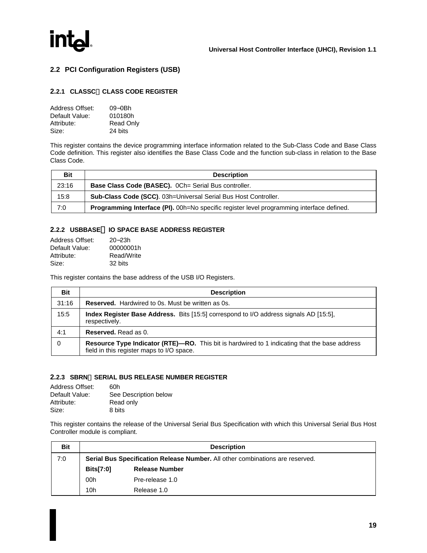<span id="page-24-0"></span>

### **2.2 PCI Configuration Registers (USB)**

#### **2.2.1 CLASSC-CLASS CODE REGISTER**

| Address Offset: | $09-0Bh$  |
|-----------------|-----------|
| Default Value:  | 010180h   |
| Attribute:      | Read Only |
| Size:           | 24 bits   |

This register contains the device programming interface information related to the Sub-Class Code and Base Class Code definition. This register also identifies the Base Class Code and the function sub-class in relation to the Base Class Code.

| <b>Bit</b> | <b>Description</b>                                                                        |
|------------|-------------------------------------------------------------------------------------------|
| 23:16      | Base Class Code (BASEC). 0Ch= Serial Bus controller.                                      |
| 15:8       | Sub-Class Code (SCC). 03h=Universal Serial Bus Host Controller.                           |
| 7:0        | Programming Interface (PI). 00h=No specific register level programming interface defined. |

#### **2.2.2 USBBASEIO SPACE BASE ADDRESS REGISTER**

| Address Offset: | $20 - 23h$ |
|-----------------|------------|
| Default Value:  | 00000001h  |
| Attribute:      | Read/Write |
| Size:           | 32 bits    |

This register contains the base address of the USB I/O Registers.

| Bit      | <b>Description</b>                                                                                                                                |
|----------|---------------------------------------------------------------------------------------------------------------------------------------------------|
| 31:16    | <b>Reserved.</b> Hardwired to 0s. Must be written as 0s.                                                                                          |
| 15:5     | <b>Index Register Base Address.</b> Bits [15:5] correspond to I/O address signals AD [15:5].<br>respectively.                                     |
| 4:1      | <b>Reserved.</b> Read as 0.                                                                                                                       |
| $\Omega$ | <b>Resource Type Indicator (RTE)-RO.</b> This bit is hardwired to 1 indicating that the base address<br>field in this register maps to I/O space. |

#### **2.2.3 SBRNSERIAL BUS RELEASE NUMBER REGISTER**

| 60h                   |
|-----------------------|
| See Description below |
| Read only             |
| 8 bits                |
|                       |

This register contains the release of the Universal Serial Bus Specification with which this Universal Serial Bus Host Controller module is compliant.

| <b>Bit</b> |                  | <b>Description</b>                                                            |
|------------|------------------|-------------------------------------------------------------------------------|
| 7:0        |                  | Serial Bus Specification Release Number. All other combinations are reserved. |
|            | <b>Bits[7:0]</b> | <b>Release Number</b>                                                         |
|            | 00h              | Pre-release 1.0                                                               |
|            | 10 <sub>h</sub>  | Release 1.0                                                                   |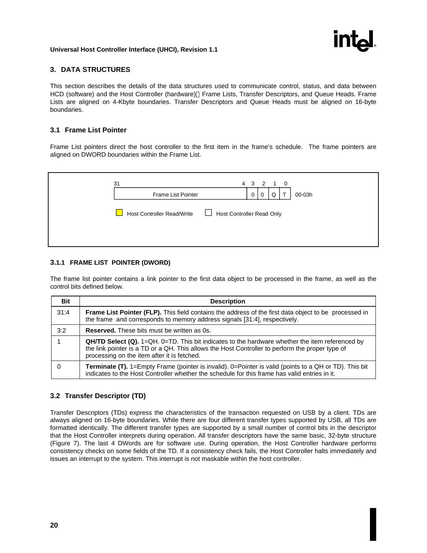

### <span id="page-25-0"></span>**3. DATA STRUCTURES**

This section describes the details of the data structures used to communicate control, status, and data between HCD (software) and the Host Controller (hardware)—Frame Lists, Transfer Descriptors, and Queue Heads. Frame Lists are aligned on 4-Kbyte boundaries. Transfer Descriptors and Queue Heads must be aligned on 16-byte boundaries.

#### **3.1 Frame List Pointer**

Frame List pointers direct the host controller to the first item in the frame's schedule. The frame pointers are aligned on DWORD boundaries within the Frame List.

| 31 |                            | 4                         |             | $3\quad 2$  | 1 0 |        |  |
|----|----------------------------|---------------------------|-------------|-------------|-----|--------|--|
|    | Frame List Pointer         |                           | $\mathbf 0$ | $\mathbf 0$ | Q   | 00-03h |  |
|    | Host Controller Read/Write | Host Controller Read Only |             |             |     |        |  |
|    |                            |                           |             |             |     |        |  |

#### **3.1.1 FRAME LIST POINTER (DWORD)**

The frame list pointer contains a link pointer to the first data object to be processed in the frame, as well as the control bits defined below.

| <b>Bit</b> | <b>Description</b>                                                                                                                                                                                                                                          |
|------------|-------------------------------------------------------------------------------------------------------------------------------------------------------------------------------------------------------------------------------------------------------------|
| 31:4       | <b>Frame List Pointer (FLP).</b> This field contains the address of the first data object to be processed in<br>the frame and corresponds to memory address signals [31:4], respectively.                                                                   |
| 3:2        | <b>Reserved.</b> These bits must be written as 0s.                                                                                                                                                                                                          |
|            | $Q$ H/TD Select $(Q)$ . 1= $Q$ H. 0=TD. This bit indicates to the hardware whether the item referenced by<br>the link pointer is a TD or a QH. This allows the Host Controller to perform the proper type of<br>processing on the item after it is fetched. |
|            | <b>Terminate (T).</b> 1=Empty Frame (pointer is invalid). 0=Pointer is valid (points to a QH or TD). This bit<br>indicates to the Host Controller whether the schedule for this frame has valid entries in it.                                              |

#### **3.2 Transfer Descriptor (TD)**

Transfer Descriptors (TDs) express the characteristics of the transaction requested on USB by a client. TDs are always aligned on 16-byte boundaries. While there are four different transfer types supported by USB, all TDs are formatted identically. The different transfer types are supported by a small number of control bits in the descriptor that the Host Controller interprets during operation. All transfer descriptors have the same basic, 32-byte structure (Figure 7). The last 4 DWords are for software use. During operation, the Host Controller hardware performs consistency checks on some fields of the TD. If a consistency check fails, the Host Controller halts immediately and issues an interrupt to the system. This interrupt is not maskable within the host controller.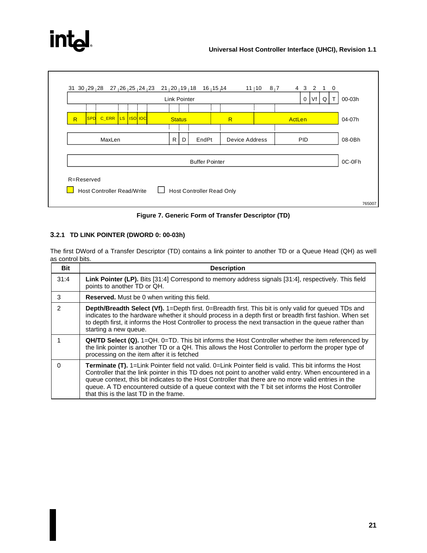<span id="page-26-0"></span>

| SPD C_ERR LS ISO IOC<br>$\overline{R}$ | <b>Status</b> | $\mathsf{R}$          |                | ActLen     | 04-07h |
|----------------------------------------|---------------|-----------------------|----------------|------------|--------|
| MaxLen                                 | R<br>D        | EndPt                 | Device Address | <b>PID</b> | 08-0Bh |
|                                        |               |                       |                |            |        |
|                                        |               | <b>Buffer Pointer</b> |                |            | 0C-0Fh |

**Figure 7. Generic Form of Transfer Descriptor (TD)**

### **3.2.1 TD LINK POINTER (DWORD 0: 00-03h)**

The first DWord of a Transfer Descriptor (TD) contains a link pointer to another TD or a Queue Head (QH) as well as control bits.

| <b>Bit</b>    | <b>Description</b>                                                                                                                                                                                                                                                                                                                                                                                                                                                                |
|---------------|-----------------------------------------------------------------------------------------------------------------------------------------------------------------------------------------------------------------------------------------------------------------------------------------------------------------------------------------------------------------------------------------------------------------------------------------------------------------------------------|
| 31:4          | Link Pointer (LP). Bits [31:4] Correspond to memory address signals [31:4], respectively. This field<br>points to another TD or QH.                                                                                                                                                                                                                                                                                                                                               |
| 3             | <b>Reserved.</b> Must be 0 when writing this field.                                                                                                                                                                                                                                                                                                                                                                                                                               |
| $\mathcal{P}$ | <b>Depth/Breadth Select (Vf).</b> $1 =$ Depth first. 0=Breadth first. This bit is only valid for queued TDs and<br>indicates to the hardware whether it should process in a depth first or breadth first fashion. When set<br>to depth first, it informs the Host Controller to process the next transaction in the queue rather than<br>starting a new queue.                                                                                                                    |
|               | QH/TD Select (Q). 1=QH. 0=TD. This bit informs the Host Controller whether the item referenced by<br>the link pointer is another TD or a QH. This allows the Host Controller to perform the proper type of<br>processing on the item after it is fetched                                                                                                                                                                                                                          |
| 0             | <b>Terminate (T).</b> 1=Link Pointer field not valid. 0=Link Pointer field is valid. This bit informs the Host<br>Controller that the link pointer in this TD does not point to another valid entry. When encountered in a<br>queue context, this bit indicates to the Host Controller that there are no more valid entries in the<br>queue. A TD encountered outside of a queue context with the T bit set informs the Host Controller<br>that this is the last TD in the frame. |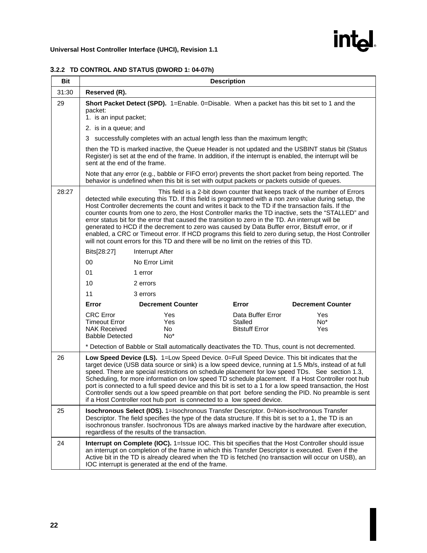| <b>Bit</b> | <b>Description</b>                                                                                                                                                                                                                                                                                                                                                                                                                                                                                                                                                                                                                                                                                                                                                                                            |                                                                                                                                                                                                                                                                                                                                                                          |                                                       |                          |  |  |  |  |
|------------|---------------------------------------------------------------------------------------------------------------------------------------------------------------------------------------------------------------------------------------------------------------------------------------------------------------------------------------------------------------------------------------------------------------------------------------------------------------------------------------------------------------------------------------------------------------------------------------------------------------------------------------------------------------------------------------------------------------------------------------------------------------------------------------------------------------|--------------------------------------------------------------------------------------------------------------------------------------------------------------------------------------------------------------------------------------------------------------------------------------------------------------------------------------------------------------------------|-------------------------------------------------------|--------------------------|--|--|--|--|
| 31:30      | Reserved (R).                                                                                                                                                                                                                                                                                                                                                                                                                                                                                                                                                                                                                                                                                                                                                                                                 |                                                                                                                                                                                                                                                                                                                                                                          |                                                       |                          |  |  |  |  |
| 29         | Short Packet Detect (SPD). 1=Enable. 0=Disable. When a packet has this bit set to 1 and the<br>packet:<br>1. is an input packet;                                                                                                                                                                                                                                                                                                                                                                                                                                                                                                                                                                                                                                                                              |                                                                                                                                                                                                                                                                                                                                                                          |                                                       |                          |  |  |  |  |
|            | 2. is in a queue; and                                                                                                                                                                                                                                                                                                                                                                                                                                                                                                                                                                                                                                                                                                                                                                                         |                                                                                                                                                                                                                                                                                                                                                                          |                                                       |                          |  |  |  |  |
|            |                                                                                                                                                                                                                                                                                                                                                                                                                                                                                                                                                                                                                                                                                                                                                                                                               | 3 successfully completes with an actual length less than the maximum length;                                                                                                                                                                                                                                                                                             |                                                       |                          |  |  |  |  |
|            | sent at the end of the frame.                                                                                                                                                                                                                                                                                                                                                                                                                                                                                                                                                                                                                                                                                                                                                                                 | then the TD is marked inactive, the Queue Header is not updated and the USBINT status bit (Status<br>Register) is set at the end of the frame. In addition, if the interrupt is enabled, the interrupt will be                                                                                                                                                           |                                                       |                          |  |  |  |  |
|            |                                                                                                                                                                                                                                                                                                                                                                                                                                                                                                                                                                                                                                                                                                                                                                                                               | Note that any error (e.g., babble or FIFO error) prevents the short packet from being reported. The<br>behavior is undefined when this bit is set with output packets or packets outside of queues.                                                                                                                                                                      |                                                       |                          |  |  |  |  |
| 28:27      | This field is a 2-bit down counter that keeps track of the number of Errors<br>detected while executing this TD. If this field is programmed with a non zero value during setup, the<br>Host Controller decrements the count and writes it back to the TD if the transaction fails. If the<br>counter counts from one to zero, the Host Controller marks the TD inactive, sets the "STALLED" and<br>error status bit for the error that caused the transition to zero in the TD. An interrupt will be<br>generated to HCD if the decrement to zero was caused by Data Buffer error, Bitstuff error, or if<br>enabled, a CRC or Timeout error. If HCD programs this field to zero during setup, the Host Controller<br>will not count errors for this TD and there will be no limit on the retries of this TD. |                                                                                                                                                                                                                                                                                                                                                                          |                                                       |                          |  |  |  |  |
|            | Bits[28:27]                                                                                                                                                                                                                                                                                                                                                                                                                                                                                                                                                                                                                                                                                                                                                                                                   | Interrupt After                                                                                                                                                                                                                                                                                                                                                          |                                                       |                          |  |  |  |  |
|            | 00                                                                                                                                                                                                                                                                                                                                                                                                                                                                                                                                                                                                                                                                                                                                                                                                            | No Error Limit                                                                                                                                                                                                                                                                                                                                                           |                                                       |                          |  |  |  |  |
|            | 01                                                                                                                                                                                                                                                                                                                                                                                                                                                                                                                                                                                                                                                                                                                                                                                                            | 1 error                                                                                                                                                                                                                                                                                                                                                                  |                                                       |                          |  |  |  |  |
|            | 10                                                                                                                                                                                                                                                                                                                                                                                                                                                                                                                                                                                                                                                                                                                                                                                                            | 2 errors                                                                                                                                                                                                                                                                                                                                                                 |                                                       |                          |  |  |  |  |
|            | 11                                                                                                                                                                                                                                                                                                                                                                                                                                                                                                                                                                                                                                                                                                                                                                                                            | 3 errors                                                                                                                                                                                                                                                                                                                                                                 |                                                       |                          |  |  |  |  |
|            | Error                                                                                                                                                                                                                                                                                                                                                                                                                                                                                                                                                                                                                                                                                                                                                                                                         | <b>Decrement Counter</b>                                                                                                                                                                                                                                                                                                                                                 | Error                                                 | <b>Decrement Counter</b> |  |  |  |  |
|            | <b>CRC</b> Error<br><b>Timeout Error</b><br><b>NAK Received</b><br><b>Babble Detected</b>                                                                                                                                                                                                                                                                                                                                                                                                                                                                                                                                                                                                                                                                                                                     | Yes<br>Yes<br>No.<br>$No*$                                                                                                                                                                                                                                                                                                                                               | Data Buffer Error<br>Stalled<br><b>Bitstuff Error</b> | Yes<br>$No*$<br>Yes      |  |  |  |  |
|            |                                                                                                                                                                                                                                                                                                                                                                                                                                                                                                                                                                                                                                                                                                                                                                                                               | * Detection of Babble or Stall automatically deactivates the TD. Thus, count is not decremented.                                                                                                                                                                                                                                                                         |                                                       |                          |  |  |  |  |
| 26         | Low Speed Device (LS). 1=Low Speed Device. 0=Full Speed Device. This bit indicates that the<br>target device (USB data source or sink) is a low speed device, running at 1.5 Mb/s, instead of at full<br>speed. There are special restrictions on schedule placement for low speed TDs. See section 1.3,<br>Scheduling, for more information on low speed TD schedule placement. If a Host Controller root hub<br>port is connected to a full speed device and this bit is set to a 1 for a low speed transaction, the Host<br>Controller sends out a low speed preamble on that port before sending the PID. No preamble is sent<br>if a Host Controller root hub port is connected to a low speed device.                                                                                                   |                                                                                                                                                                                                                                                                                                                                                                          |                                                       |                          |  |  |  |  |
| 25         |                                                                                                                                                                                                                                                                                                                                                                                                                                                                                                                                                                                                                                                                                                                                                                                                               | Isochronous Select (IOS). 1=Isochronous Transfer Descriptor. 0=Non-isochronous Transfer<br>Descriptor. The field specifies the type of the data structure. If this bit is set to a 1, the TD is an<br>isochronous transfer. Isochronous TDs are always marked inactive by the hardware after execution,<br>regardless of the results of the transaction.                 |                                                       |                          |  |  |  |  |
| 24         |                                                                                                                                                                                                                                                                                                                                                                                                                                                                                                                                                                                                                                                                                                                                                                                                               | Interrupt on Complete (IOC). 1=Issue IOC. This bit specifies that the Host Controller should issue<br>an interrupt on completion of the frame in which this Transfer Descriptor is executed. Even if the<br>Active bit in the TD is already cleared when the TD is fetched (no transaction will occur on USB), an<br>IOC interrupt is generated at the end of the frame. |                                                       |                          |  |  |  |  |

# <span id="page-27-0"></span>**3.2.2 TD CONTROL AND STATUS (DWORD 1: 04-07h)**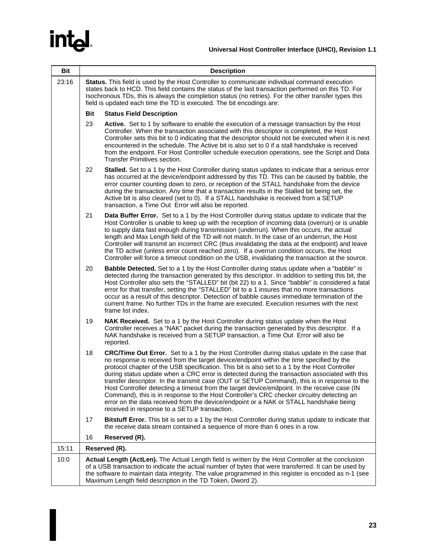# intd.

| <b>Bit</b> |                                                                                                                                                                                                                                                                                                                                                                                         | <b>Description</b>                                                                                                                                                                                                                                                                                                                                                                                                                                                                                                                                                                                                                                                                                                                                                                                                                     |  |  |  |  |  |  |  |  |
|------------|-----------------------------------------------------------------------------------------------------------------------------------------------------------------------------------------------------------------------------------------------------------------------------------------------------------------------------------------------------------------------------------------|----------------------------------------------------------------------------------------------------------------------------------------------------------------------------------------------------------------------------------------------------------------------------------------------------------------------------------------------------------------------------------------------------------------------------------------------------------------------------------------------------------------------------------------------------------------------------------------------------------------------------------------------------------------------------------------------------------------------------------------------------------------------------------------------------------------------------------------|--|--|--|--|--|--|--|--|
| 23:16      | Status. This field is used by the Host Controller to communicate individual command execution<br>states back to HCD. This field contains the status of the last transaction performed on this TD. For<br>Isochronous TDs, this is always the completion status (no retries). For the other transfer types this<br>field is updated each time the TD is executed. The bit encodings are: |                                                                                                                                                                                                                                                                                                                                                                                                                                                                                                                                                                                                                                                                                                                                                                                                                                        |  |  |  |  |  |  |  |  |
|            | <b>Bit</b>                                                                                                                                                                                                                                                                                                                                                                              | <b>Status Field Description</b>                                                                                                                                                                                                                                                                                                                                                                                                                                                                                                                                                                                                                                                                                                                                                                                                        |  |  |  |  |  |  |  |  |
|            | 23                                                                                                                                                                                                                                                                                                                                                                                      | <b>Active.</b> Set to 1 by software to enable the execution of a message transaction by the Host<br>Controller. When the transaction associated with this descriptor is completed, the Host<br>Controller sets this bit to 0 indicating that the descriptor should not be executed when it is next<br>encountered in the schedule. The Active bit is also set to 0 if a stall handshake is received<br>from the endpoint. For Host Controller schedule execution operations, see the Script and Data<br>Transfer Primitives section.                                                                                                                                                                                                                                                                                                   |  |  |  |  |  |  |  |  |
|            | 22                                                                                                                                                                                                                                                                                                                                                                                      | Stalled. Set to a 1 by the Host Controller during status updates to indicate that a serious error<br>has occurred at the device/endpoint addressed by this TD. This can be caused by babble, the<br>error counter counting down to zero, or reception of the STALL handshake from the device<br>during the transaction. Any time that a transaction results in the Stalled bit being set, the<br>Active bit is also cleared (set to 0). If a STALL handshake is received from a SETUP<br>transaction, a Time Out Error will also be reported.                                                                                                                                                                                                                                                                                          |  |  |  |  |  |  |  |  |
|            | 21                                                                                                                                                                                                                                                                                                                                                                                      | Data Buffer Error. Set to a 1 by the Host Controller during status update to indicate that the<br>Host Controller is unable to keep up with the reception of incoming data (overrun) or is unable<br>to supply data fast enough during transmission (underrun). When this occurs, the actual<br>length and Max Length field of the TD will not match. In the case of an underrun, the Host<br>Controller will transmit an incorrect CRC (thus invalidating the data at the endpoint) and leave<br>the TD active (unless error count reached zero). If a overrun condition occurs, the Host<br>Controller will force a timeout condition on the USB, invalidating the transaction at the source.                                                                                                                                        |  |  |  |  |  |  |  |  |
|            | 20                                                                                                                                                                                                                                                                                                                                                                                      | <b>Babble Detected.</b> Set to a 1 by the Host Controller during status update when a "babble" is<br>detected during the transaction generated by this descriptor. In addition to setting this bit, the<br>Host Controller also sets the "STALLED" bit (bit 22) to a 1. Since "babble" is considered a fatal<br>error for that transfer, setting the "STALLED" bit to a 1 insures that no more transactions<br>occur as a result of this descriptor. Detection of babble causes immediate termination of the<br>current frame. No further TDs in the frame are executed. Execution resumes with the next<br>frame list index.                                                                                                                                                                                                          |  |  |  |  |  |  |  |  |
|            | 19                                                                                                                                                                                                                                                                                                                                                                                      | NAK Received. Set to a 1 by the Host Controller during status update when the Host<br>Controller receives a "NAK" packet during the transaction generated by this descriptor. If a<br>NAK handshake is received from a SETUP transaction, a Time Out Error will also be<br>reported.                                                                                                                                                                                                                                                                                                                                                                                                                                                                                                                                                   |  |  |  |  |  |  |  |  |
|            | 18                                                                                                                                                                                                                                                                                                                                                                                      | <b>CRC/Time Out Error.</b> Set to a 1 by the Host Controller during status update in the case that<br>no response is received from the target device/endpoint within the time specified by the<br>protocol chapter of the USB specification. This bit is also set to a 1 by the Host Controller<br>during status update when a CRC error is detected during the transaction associated with this<br>transfer descriptor. In the transmit case (OUT or SETUP Command), this is in response to the<br>Host Controller detecting a timeout from the target device/endpoint. In the receive case (IN<br>Command), this is in response to the Host Controller's CRC checker circuitry detecting an<br>error on the data received from the device/endpoint or a NAK or STALL handshake being<br>received in response to a SETUP transaction. |  |  |  |  |  |  |  |  |
|            | 17                                                                                                                                                                                                                                                                                                                                                                                      | Bitstuff Error. This bit is set to a 1 by the Host Controller during status update to indicate that<br>the receive data stream contained a sequence of more than 6 ones in a row.                                                                                                                                                                                                                                                                                                                                                                                                                                                                                                                                                                                                                                                      |  |  |  |  |  |  |  |  |
|            | 16                                                                                                                                                                                                                                                                                                                                                                                      | Reserved (R).                                                                                                                                                                                                                                                                                                                                                                                                                                                                                                                                                                                                                                                                                                                                                                                                                          |  |  |  |  |  |  |  |  |
| 15:11      |                                                                                                                                                                                                                                                                                                                                                                                         | Reserved (R).                                                                                                                                                                                                                                                                                                                                                                                                                                                                                                                                                                                                                                                                                                                                                                                                                          |  |  |  |  |  |  |  |  |
| 10:0       | Actual Length (ActLen). The Actual Length field is written by the Host Controller at the conclusion<br>of a USB transaction to indicate the actual number of bytes that were transferred. It can be used by<br>the software to maintain data integrity. The value programmed in this register is encoded as n-1 (see<br>Maximum Length field description in the TD Token, Dword 2).     |                                                                                                                                                                                                                                                                                                                                                                                                                                                                                                                                                                                                                                                                                                                                                                                                                                        |  |  |  |  |  |  |  |  |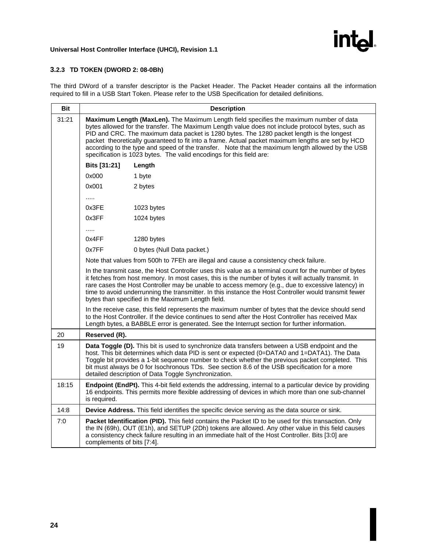

# <span id="page-29-0"></span>**3.2.3 TD TOKEN (DWORD 2: 08-0Bh)**

The third DWord of a transfer descriptor is the Packet Header. The Packet Header contains all the information required to fill in a USB Start Token. Please refer to the USB Specification for detailed definitions.

| <b>Bit</b> | <b>Description</b>                                                                                                                                                                                                                                                                                                                                                                                                                                                                                                                                                        |                                                                                                                                                                                                                                                                                                                |  |  |  |  |  |  |
|------------|---------------------------------------------------------------------------------------------------------------------------------------------------------------------------------------------------------------------------------------------------------------------------------------------------------------------------------------------------------------------------------------------------------------------------------------------------------------------------------------------------------------------------------------------------------------------------|----------------------------------------------------------------------------------------------------------------------------------------------------------------------------------------------------------------------------------------------------------------------------------------------------------------|--|--|--|--|--|--|
| 31:21      | Maximum Length (MaxLen). The Maximum Length field specifies the maximum number of data<br>bytes allowed for the transfer. The Maximum Length value does not include protocol bytes, such as<br>PID and CRC. The maximum data packet is 1280 bytes. The 1280 packet length is the longest<br>packet theoretically guaranteed to fit into a frame. Actual packet maximum lengths are set by HCD<br>according to the type and speed of the transfer. Note that the maximum length allowed by the USB<br>specification is 1023 bytes. The valid encodings for this field are: |                                                                                                                                                                                                                                                                                                                |  |  |  |  |  |  |
|            | Bits [31:21]                                                                                                                                                                                                                                                                                                                                                                                                                                                                                                                                                              | Length                                                                                                                                                                                                                                                                                                         |  |  |  |  |  |  |
|            | 0x000                                                                                                                                                                                                                                                                                                                                                                                                                                                                                                                                                                     | 1 byte                                                                                                                                                                                                                                                                                                         |  |  |  |  |  |  |
|            | 0x001                                                                                                                                                                                                                                                                                                                                                                                                                                                                                                                                                                     | 2 bytes                                                                                                                                                                                                                                                                                                        |  |  |  |  |  |  |
|            | .                                                                                                                                                                                                                                                                                                                                                                                                                                                                                                                                                                         |                                                                                                                                                                                                                                                                                                                |  |  |  |  |  |  |
|            | 0x3FE                                                                                                                                                                                                                                                                                                                                                                                                                                                                                                                                                                     | 1023 bytes                                                                                                                                                                                                                                                                                                     |  |  |  |  |  |  |
|            | 0x3FF                                                                                                                                                                                                                                                                                                                                                                                                                                                                                                                                                                     | 1024 bytes                                                                                                                                                                                                                                                                                                     |  |  |  |  |  |  |
|            | .                                                                                                                                                                                                                                                                                                                                                                                                                                                                                                                                                                         |                                                                                                                                                                                                                                                                                                                |  |  |  |  |  |  |
|            | 0x4FF                                                                                                                                                                                                                                                                                                                                                                                                                                                                                                                                                                     | 1280 bytes                                                                                                                                                                                                                                                                                                     |  |  |  |  |  |  |
|            | 0x7FF                                                                                                                                                                                                                                                                                                                                                                                                                                                                                                                                                                     | 0 bytes (Null Data packet.)                                                                                                                                                                                                                                                                                    |  |  |  |  |  |  |
|            |                                                                                                                                                                                                                                                                                                                                                                                                                                                                                                                                                                           | Note that values from 500h to 7FEh are illegal and cause a consistency check failure.                                                                                                                                                                                                                          |  |  |  |  |  |  |
|            | In the transmit case, the Host Controller uses this value as a terminal count for the number of bytes<br>it fetches from host memory. In most cases, this is the number of bytes it will actually transmit. In<br>rare cases the Host Controller may be unable to access memory (e.g., due to excessive latency) in<br>time to avoid underrunning the transmitter. In this instance the Host Controller would transmit fewer<br>bytes than specified in the Maximum Length field.                                                                                         |                                                                                                                                                                                                                                                                                                                |  |  |  |  |  |  |
|            | In the receive case, this field represents the maximum number of bytes that the device should send<br>to the Host Controller. If the device continues to send after the Host Controller has received Max<br>Length bytes, a BABBLE error is generated. See the Interrupt section for further information.                                                                                                                                                                                                                                                                 |                                                                                                                                                                                                                                                                                                                |  |  |  |  |  |  |
| 20         | Reserved (R).                                                                                                                                                                                                                                                                                                                                                                                                                                                                                                                                                             |                                                                                                                                                                                                                                                                                                                |  |  |  |  |  |  |
| 19         | Data Toggle (D). This bit is used to synchronize data transfers between a USB endpoint and the<br>host. This bit determines which data PID is sent or expected (0=DATA0 and 1=DATA1). The Data<br>Toggle bit provides a 1-bit sequence number to check whether the previous packet completed. This<br>bit must always be 0 for Isochronous TDs. See section 8.6 of the USB specification for a more<br>detailed description of Data Toggle Synchronization.                                                                                                               |                                                                                                                                                                                                                                                                                                                |  |  |  |  |  |  |
| 18:15      | Endpoint (EndPt). This 4-bit field extends the addressing, internal to a particular device by providing<br>16 endpoints. This permits more flexible addressing of devices in which more than one sub-channel<br>is required.                                                                                                                                                                                                                                                                                                                                              |                                                                                                                                                                                                                                                                                                                |  |  |  |  |  |  |
| 14:8       |                                                                                                                                                                                                                                                                                                                                                                                                                                                                                                                                                                           | Device Address. This field identifies the specific device serving as the data source or sink.                                                                                                                                                                                                                  |  |  |  |  |  |  |
| 7:0        | complements of bits [7:4].                                                                                                                                                                                                                                                                                                                                                                                                                                                                                                                                                | Packet Identification (PID). This field contains the Packet ID to be used for this transaction. Only<br>the IN (69h), OUT (E1h), and SETUP (2Dh) tokens are allowed. Any other value in this field causes<br>a consistency check failure resulting in an immediate halt of the Host Controller. Bits [3:0] are |  |  |  |  |  |  |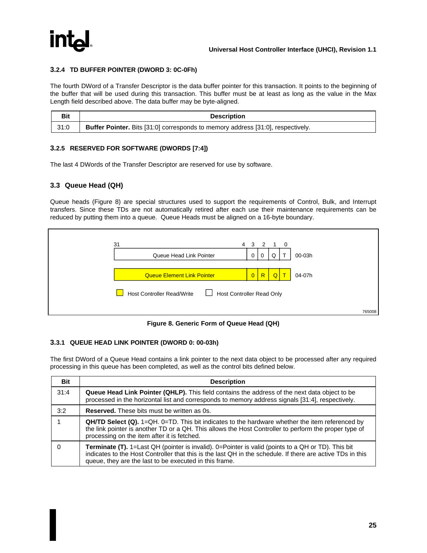<span id="page-30-0"></span>

#### **3.2.4 TD BUFFER POINTER (DWORD 3: 0C-0Fh)**

The fourth DWord of a Transfer Descriptor is the data buffer pointer for this transaction. It points to the beginning of the buffer that will be used during this transaction. This buffer must be at least as long as the value in the Max Length field described above. The data buffer may be byte-aligned.

| Bit  | <b>Description</b>                                                                     |
|------|----------------------------------------------------------------------------------------|
| 31:0 | <b>Buffer Pointer.</b> Bits [31:0] corresponds to memory address [31:0], respectively. |

#### **3.2.5 RESERVED FOR SOFTWARE (DWORDS [7:4])**

The last 4 DWords of the Transfer Descriptor are reserved for use by software.

#### **3.3 Queue Head (QH)**

Queue heads (Figure 8) are special structures used to support the requirements of Control, Bulk, and Interrupt transfers. Since these TDs are not automatically retired after each use their maintenance requirements can be reduced by putting them into a queue. Queue Heads must be aligned on a 16-byte boundary.

| 31 |                                        |                                  | 4 3 2 1 0      |              |          |   |        |        |
|----|----------------------------------------|----------------------------------|----------------|--------------|----------|---|--------|--------|
|    | Queue Head Link Pointer                |                                  | $\mathbf 0$    | $\Omega$     | $\Omega$ |   | 00-03h |        |
|    | <b>Queue Element Link Pointer</b>      |                                  | $\overline{0}$ | $\mathsf{R}$ | $\Omega$ | т | 04-07h |        |
|    | <b>Host Controller Read/Write</b><br>ப | <b>Host Controller Read Only</b> |                |              |          |   |        |        |
|    |                                        |                                  |                |              |          |   |        | 765008 |

**Figure 8. Generic Form of Queue Head (QH)**

#### **3.3.1 QUEUE HEAD LINK POINTER (DWORD 0: 00-03h)**

The first DWord of a Queue Head contains a link pointer to the next data object to be processed after any required processing in this queue has been completed, as well as the control bits defined below.

| <b>Bit</b> | <b>Description</b>                                                                                                                                                                                                                                                                |
|------------|-----------------------------------------------------------------------------------------------------------------------------------------------------------------------------------------------------------------------------------------------------------------------------------|
| 31:4       | <b>Queue Head Link Pointer (QHLP).</b> This field contains the address of the next data object to be<br>processed in the horizontal list and corresponds to memory address signals [31:4], respectively.                                                                          |
| 3:2        | <b>Reserved.</b> These bits must be written as 0s.                                                                                                                                                                                                                                |
|            | $Q$ H/TD Select $(Q)$ . 1=QH. 0=TD. This bit indicates to the hardware whether the item referenced by<br>the link pointer is another TD or a QH. This allows the Host Controller to perform the proper type of<br>processing on the item after it is fetched.                     |
|            | <b>Terminate (T).</b> 1=Last QH (pointer is invalid). 0=Pointer is valid (points to a QH or TD). This bit<br>indicates to the Host Controller that this is the last QH in the schedule. If there are active TDs in this<br>queue, they are the last to be executed in this frame. |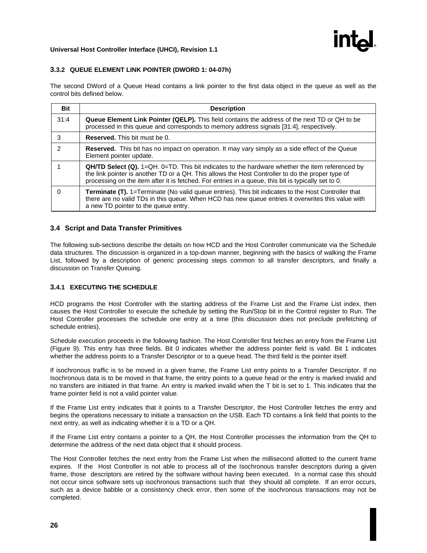

#### <span id="page-31-0"></span>**3.3.2 QUEUE ELEMENT LINK POINTER (DWORD 1: 04-07h)**

The second DWord of a Queue Head contains a link pointer to the first data object in the queue as well as the control bits defined below.

| <b>Bit</b>    | <b>Description</b>                                                                                                                                                                                                                                                                                                   |
|---------------|----------------------------------------------------------------------------------------------------------------------------------------------------------------------------------------------------------------------------------------------------------------------------------------------------------------------|
| 31:4          | Queue Element Link Pointer (QELP). This field contains the address of the next TD or QH to be<br>processed in this queue and corresponds to memory address signals [31:4], respectively.                                                                                                                             |
| 3             | <b>Reserved.</b> This bit must be 0.                                                                                                                                                                                                                                                                                 |
| $\mathcal{P}$ | Reserved. This bit has no impact on operation. It may vary simply as a side effect of the Queue<br>Element pointer update.                                                                                                                                                                                           |
|               | $Q$ H/TD Select $(Q)$ . 1= $Q$ H. 0=TD. This bit indicates to the hardware whether the item referenced by<br>the link pointer is another TD or a QH. This allows the Host Controller to do the proper type of<br>processing on the item after it is fetched. For entries in a queue, this bit is typically set to 0. |
|               | <b>Terminate (T).</b> 1=Terminate (No valid queue entries). This bit indicates to the Host Controller that<br>there are no valid TDs in this queue. When HCD has new queue entries it overwrites this value with<br>a new TD pointer to the queue entry.                                                             |

#### **3.4 Script and Data Transfer Primitives**

The following sub-sections describe the details on how HCD and the Host Controller communicate via the Schedule data structures. The discussion is organized in a top-down manner, beginning with the basics of walking the Frame List, followed by a description of generic processing steps common to all transfer descriptors, and finally a discussion on Transfer Queuing.

#### **3.4.1 EXECUTING THE SCHEDULE**

HCD programs the Host Controller with the starting address of the Frame List and the Frame List index, then causes the Host Controller to execute the schedule by setting the Run/Stop bit in the Control register to Run. The Host Controller processes the schedule one entry at a time (this discussion does not preclude prefetching of schedule entries).

Schedule execution proceeds in the following fashion. The Host Controller first fetches an entry from the Frame List (Figure 9). This entry has three fields. Bit 0 indicates whether the address pointer field is valid. Bit 1 indicates whether the address points to a Transfer Descriptor or to a queue head. The third field is the pointer itself.

If isochronous traffic is to be moved in a given frame, the Frame List entry points to a Transfer Descriptor. If no Isochronous data is to be moved in that frame, the entry points to a queue head or the entry is marked invalid and no transfers are initiated in that frame. An entry is marked invalid when the T bit is set to 1. This indicates that the frame pointer field is not a valid pointer value.

If the Frame List entry indicates that it points to a Transfer Descriptor, the Host Controller fetches the entry and begins the operations necessary to initiate a transaction on the USB. Each TD contains a link field that points to the next entry, as well as indicating whether it is a TD or a QH.

If the Frame List entry contains a pointer to a QH, the Host Controller processes the information from the QH to determine the address of the next data object that it should process.

The Host Controller fetches the next entry from the Frame List when the millisecond allotted to the current frame expires. If the Host Controller is not able to process all of the Isochronous transfer descriptors during a given frame, those descriptors are retired by the software without having been executed. In a normal case this should not occur since software sets up isochronous transactions such that they should all complete. If an error occurs, such as a device babble or a consistency check error, then some of the isochronous transactions may not be completed.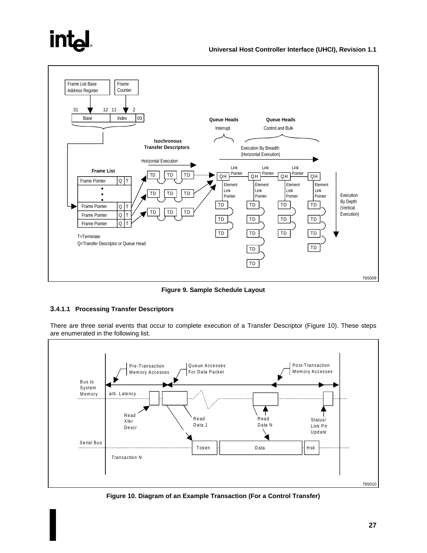



**Figure 9. Sample Schedule Layout**

## **3.4.1.1 Processing Transfer Descriptors**

There are three serial events that occur to complete execution of a Transfer Descriptor (Figure 10). These steps are enumerated in the following list.



**Figure 10. Diagram of an Example Transaction (For a Control Transfer)**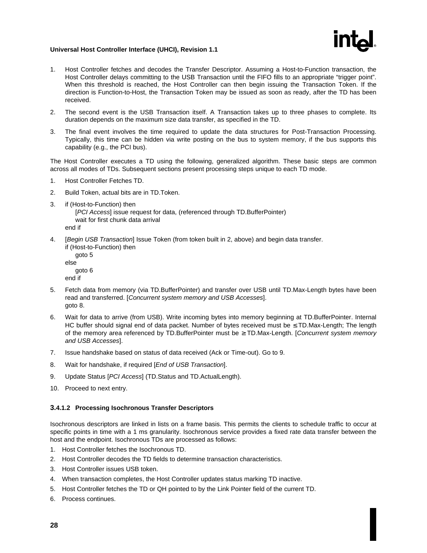

- 1. Host Controller fetches and decodes the Transfer Descriptor. Assuming a Host-to-Function transaction, the Host Controller delays committing to the USB Transaction until the FIFO fills to an appropriate "trigger point". When this threshold is reached, the Host Controller can then begin issuing the Transaction Token. If the direction is Function-to-Host, the Transaction Token may be issued as soon as ready, after the TD has been received.
- 2. The second event is the USB Transaction itself. A Transaction takes up to three phases to complete. Its duration depends on the maximum size data transfer, as specified in the TD.
- 3. The final event involves the time required to update the data structures for Post-Transaction Processing. Typically, this time can be hidden via write posting on the bus to system memory, if the bus supports this capability (e.g., the PCI bus).

The Host Controller executes a TD using the following, generalized algorithm. These basic steps are common across all modes of TDs. Subsequent sections present processing steps unique to each TD mode.

- 1. Host Controller Fetches TD.
- 2. Build Token, actual bits are in TD.Token.
- 3. if (Host-to-Function) then

[PCI Access] issue request for data, (referenced through TD.BufferPointer) wait for first chunk data arrival

end if

4. [Begin USB Transaction] Issue Token (from token built in 2, above) and begin data transfer. if (Host-to-Function) then

goto 5 else goto 6 end if

- 5. Fetch data from memory (via TD.BufferPointer) and transfer over USB until TD.Max-Length bytes have been read and transferred. [Concurrent system memory and USB Accesses]. goto 8.
- 6. Wait for data to arrive (from USB). Write incoming bytes into memory beginning at TD.BufferPointer. Internal HC buffer should signal end of data packet. Number of bytes received must be ≤ TD.Max-Length; The length of the memory area referenced by TD.BufferPointer must be  $\geq$  TD.Max-Length. [Concurrent system memory and USB Accesses].
- 7. Issue handshake based on status of data received (Ack or Time-out). Go to 9.
- 8. Wait for handshake, if required [End of USB Transaction].
- 9. Update Status [PCI Access] (TD.Status and TD.ActualLength).
- 10. Proceed to next entry.

#### **3.4.1.2 Processing Isochronous Transfer Descriptors**

Isochronous descriptors are linked in lists on a frame basis. This permits the clients to schedule traffic to occur at specific points in time with a 1 ms granularity. Isochronous service provides a fixed rate data transfer between the host and the endpoint. Isochronous TDs are processed as follows:

- 1. Host Controller fetches the Isochronous TD.
- 2. Host Controller decodes the TD fields to determine transaction characteristics.
- 3. Host Controller issues USB token.
- 4. When transaction completes, the Host Controller updates status marking TD inactive.
- 5. Host Controller fetches the TD or QH pointed to by the Link Pointer field of the current TD.
- 6. Process continues.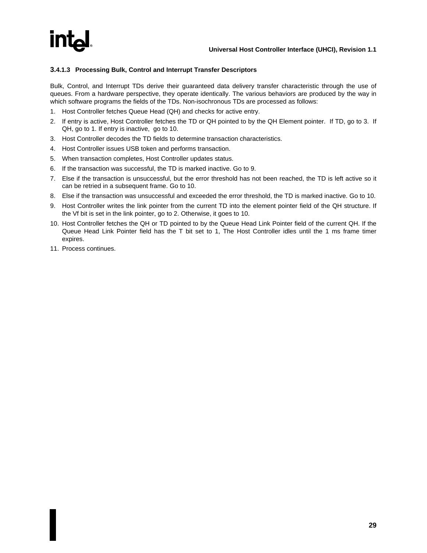

#### **3.4.1.3 Processing Bulk, Control and Interrupt Transfer Descriptors**

Bulk, Control, and Interrupt TDs derive their guaranteed data delivery transfer characteristic through the use of queues. From a hardware perspective, they operate identically. The various behaviors are produced by the way in which software programs the fields of the TDs. Non-isochronous TDs are processed as follows:

- 1. Host Controller fetches Queue Head (QH) and checks for active entry.
- 2. If entry is active, Host Controller fetches the TD or QH pointed to by the QH Element pointer. If TD, go to 3. If QH, go to 1. If entry is inactive, go to 10.
- 3. Host Controller decodes the TD fields to determine transaction characteristics.
- 4. Host Controller issues USB token and performs transaction.
- 5. When transaction completes, Host Controller updates status.
- 6. If the transaction was successful, the TD is marked inactive. Go to 9.
- 7. Else if the transaction is unsuccessful, but the error threshold has not been reached, the TD is left active so it can be retried in a subsequent frame. Go to 10.
- 8. Else if the transaction was unsuccessful and exceeded the error threshold, the TD is marked inactive. Go to 10.
- 9. Host Controller writes the link pointer from the current TD into the element pointer field of the QH structure. If the Vf bit is set in the link pointer, go to 2. Otherwise, it goes to 10.
- 10. Host Controller fetches the QH or TD pointed to by the Queue Head Link Pointer field of the current QH. If the Queue Head Link Pointer field has the T bit set to 1, The Host Controller idles until the 1 ms frame timer expires.
- 11. Process continues.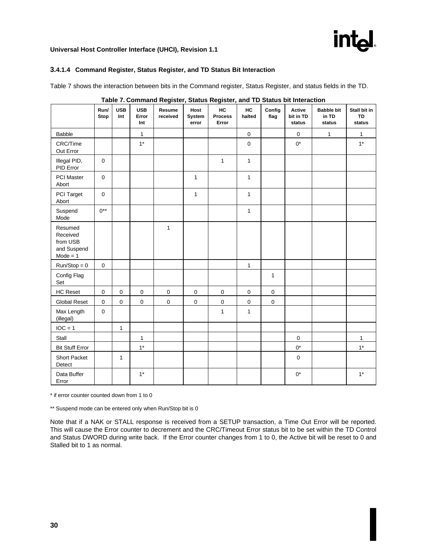

#### **3.4.1.4 Command Register, Status Register, and TD Status Bit Interaction**

Table 7 shows the interaction between bits in the Command register, Status Register, and status fields in the TD.

|                                                              | Run/<br>Stop | <b>USB</b><br>Int | <b>USB</b><br>Error<br>Int | Resume<br>received | Host<br>System<br>error | HC<br><b>Process</b><br>Error | <b>HC</b><br>halted | Config<br>flag | <b>Active</b><br>bit in TD<br>status | <b>Babble bit</b><br>in TD<br>status | Stall bit in<br><b>TD</b><br>status |
|--------------------------------------------------------------|--------------|-------------------|----------------------------|--------------------|-------------------------|-------------------------------|---------------------|----------------|--------------------------------------|--------------------------------------|-------------------------------------|
| Babble                                                       |              |                   | $\mathbf{1}$               |                    |                         |                               | $\mathbf 0$         |                | $\mathbf 0$                          | $\mathbf{1}$                         | $\mathbf{1}$                        |
| CRC/Time<br>Out Error                                        |              |                   | $1*$                       |                    |                         |                               | $\pmb{0}$           |                | $0^*$                                |                                      | $1*$                                |
| Illegal PID,<br>PID Error                                    | $\mathbf 0$  |                   |                            |                    |                         | $\mathbf{1}$                  | $\mathbf{1}$        |                |                                      |                                      |                                     |
| PCI Master<br>Abort                                          | $\mathbf{0}$ |                   |                            |                    | $\mathbf{1}$            |                               | $\overline{1}$      |                |                                      |                                      |                                     |
| PCI Target<br>Abort                                          | $\mathbf{0}$ |                   |                            |                    | $\mathbf{1}$            |                               | $\mathbf{1}$        |                |                                      |                                      |                                     |
| Suspend<br>Mode                                              | $0***$       |                   |                            |                    |                         |                               | $\mathbf{1}$        |                |                                      |                                      |                                     |
| Resumed<br>Received<br>from USB<br>and Suspend<br>$Mode = 1$ |              |                   |                            | $\mathbf{1}$       |                         |                               |                     |                |                                      |                                      |                                     |
| $Run/Stop = 0$                                               | $\mathbf 0$  |                   |                            |                    |                         |                               | $\mathbf{1}$        |                |                                      |                                      |                                     |
| Config Flag<br>Set                                           |              |                   |                            |                    |                         |                               |                     | $\mathbf{1}$   |                                      |                                      |                                     |
| <b>HC Reset</b>                                              | $\pmb{0}$    | $\mathbf 0$       | $\pmb{0}$                  | $\pmb{0}$          | $\pmb{0}$               | $\pmb{0}$                     | $\mathbf 0$         | $\pmb{0}$      |                                      |                                      |                                     |
| <b>Global Reset</b>                                          | $\mathbf 0$  | $\mathsf 0$       | $\pmb{0}$                  | $\mathbf 0$        | $\mathbf 0$             | $\pmb{0}$                     | $\pmb{0}$           | $\pmb{0}$      |                                      |                                      |                                     |
| Max Length<br>(illegal)                                      | $\pmb{0}$    |                   |                            |                    |                         | $\mathbf{1}$                  | $\mathbf{1}$        |                |                                      |                                      |                                     |
| $IOC = 1$                                                    |              | $\mathbf{1}$      |                            |                    |                         |                               |                     |                |                                      |                                      |                                     |
| Stall                                                        |              |                   | $\mathbf{1}$               |                    |                         |                               |                     |                | $\mathbf 0$                          |                                      | $\mathbf{1}$                        |
| <b>Bit Stuff Error</b>                                       |              |                   | $1*$                       |                    |                         |                               |                     |                | $0^*$                                |                                      | $1*$                                |
| Short Packet<br>Detect                                       |              | $\mathbf{1}$      |                            |                    |                         |                               |                     |                | $\pmb{0}$                            |                                      |                                     |
| Data Buffer<br>Error                                         |              |                   | $1*$                       |                    |                         |                               |                     |                | $0^{\star}$                          |                                      | $1*$                                |

| Table 7. Command Register, Status Register, and TD Status bit Interaction |  |  |  |
|---------------------------------------------------------------------------|--|--|--|
|                                                                           |  |  |  |
|                                                                           |  |  |  |

\* if error counter counted down from 1 to 0

\*\* Suspend mode can be entered only when Run/Stop bit is 0

Note that if a NAK or STALL response is received from a SETUP transaction, a Time Out Error will be reported. This will cause the Error counter to decrement and the CRC/Timeout Error status bit to be set within the TD Control and Status DWORD during write back. If the Error counter changes from 1 to 0, the Active bit will be reset to 0 and Stalled bit to 1 as normal.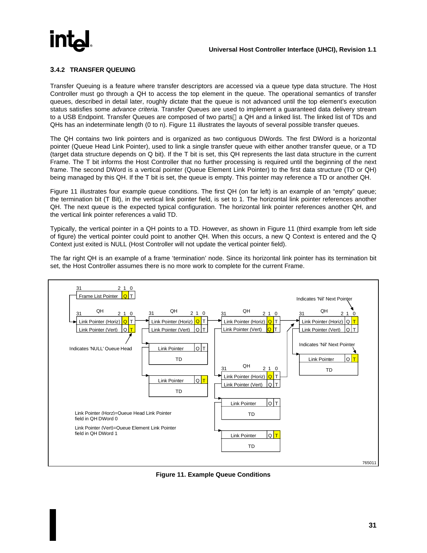# <span id="page-36-0"></span>**R**

#### **3.4.2 TRANSFER QUEUING**

Transfer Queuing is a feature where transfer descriptors are accessed via a queue type data structure. The Host Controller must go through a QH to access the top element in the queue. The operational semantics of transfer queues, described in detail later, roughly dictate that the queue is not advanced until the top element's execution status satisfies some *advance criteria*. Transfer Queues are used to implement a guaranteed data delivery stream to a USB Endpoint. Transfer Queues are composed of two parts—a QH and a linked list. The linked list of TDs and QHs has an indeterminate length (0 to n). Figure 11 illustrates the layouts of several possible transfer queues.

The QH contains two link pointers and is organized as two contiguous DWords. The first DWord is a horizontal pointer (Queue Head Link Pointer), used to link a single transfer queue with either another transfer queue, or a TD (target data structure depends on Q bit). If the T bit is set, this QH represents the last data structure in the current Frame. The T bit informs the Host Controller that no further processing is required until the beginning of the next frame. The second DWord is a vertical pointer (Queue Element Link Pointer) to the first data structure (TD or QH) being managed by this QH. If the T bit is set, the queue is empty. This pointer may reference a TD or another QH.

Figure 11 illustrates four example queue conditions. The first QH (on far left) is an example of an "empty" queue; the termination bit (T Bit), in the vertical link pointer field, is set to 1. The horizontal link pointer references another QH. The next queue is the expected typical configuration. The horizontal link pointer references another QH, and the vertical link pointer references a valid TD.

Typically, the vertical pointer in a QH points to a TD. However, as shown in Figure 11 (third example from left side of figure) the vertical pointer could point to another QH. When this occurs, a new Q Context is entered and the Q Context just exited is NULL (Host Controller will not update the vertical pointer field).

The far right QH is an example of a frame 'termination' node. Since its horizontal link pointer has its termination bit set, the Host Controller assumes there is no more work to complete for the current Frame.



**Figure 11. Example Queue Conditions**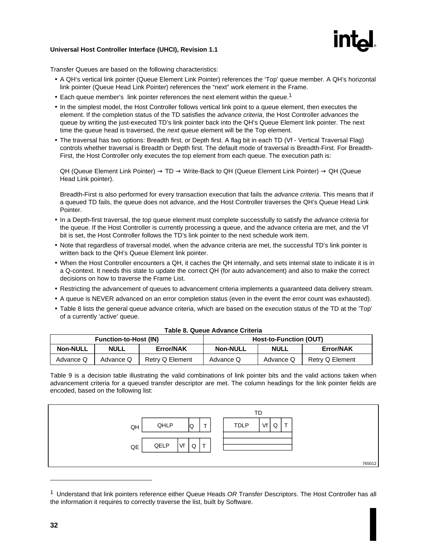

Transfer Queues are based on the following characteristics:

- A QH's vertical link pointer (Queue Element Link Pointer) references the 'Top' queue member. A QH's horizontal link pointer (Queue Head Link Pointer) references the "next" work element in the Frame.
- Each queue member's link pointer references the next element within the queue.<sup>1</sup>
- In the simplest model, the Host Controller follows vertical link point to a queue element, then executes the element. If the completion status of the TD satisfies the advance criteria, the Host Controller advances the queue by writing the just-executed TD's link pointer back into the QH's Queue Element link pointer. The next time the queue head is traversed, the next queue element will be the Top element.
- The traversal has two options: Breadth first, or Depth first. A flag bit in each TD (Vf Vertical Traversal Flag) controls whether traversal is Breadth or Depth first. The default mode of traversal is Breadth-First. For Breadth-First, the Host Controller only executes the top element from each queue. The execution path is:

QH (Queue Element Link Pointer)  $\rightarrow$  TD  $\rightarrow$  Write-Back to QH (Queue Element Link Pointer)  $\rightarrow$  QH (Queue Head Link pointer).

Breadth-First is also performed for every transaction execution that fails the *advance criteria*. This means that if a queued TD fails, the queue does not advance, and the Host Controller traverses the QH's Queue Head Link Pointer.

- In a Depth-first traversal, the top queue element must complete successfully to satisfy the advance criteria for the queue. If the Host Controller is currently processing a queue, and the advance criteria are met, and the Vf bit is set, the Host Controller follows the TD's link pointer to the next schedule work item.
- Note that regardless of traversal model, when the advance criteria are met, the successful TD's link pointer is written back to the QH's Queue Element link pointer.
- When the Host Controller encounters a QH, it caches the QH internally, and sets internal state to indicate it is in a Q-context. It needs this state to update the correct QH (for auto advancement) and also to make the correct decisions on how to traverse the Frame List.
- Restricting the advancement of queues to advancement criteria implements a guaranteed data delivery stream.
- A queue is NEVER advanced on an error completion status (even in the event the error count was exhausted).
- Table 8 lists the general queue advance criteria, which are based on the execution status of the TD at the 'Top' of a currently 'active' queue.

|                 | <b>Function-to-Host (IN)</b> |                 | <b>Host-to-Function (OUT)</b> |             |                 |  |
|-----------------|------------------------------|-----------------|-------------------------------|-------------|-----------------|--|
| <b>Non-NULL</b> | <b>NULL</b>                  | Error/NAK       | <b>Non-NULL</b>               | <b>NULL</b> | Error/NAK       |  |
| Advance Q       | Advance Q                    | Retry Q Element | Advance Q                     | Advance Q   | Retry Q Element |  |

#### **Table 8. Queue Advance Criteria**

Table 9 is a decision table illustrating the valid combinations of link pointer bits and the valid actions taken when advancement criteria for a queued transfer descriptor are met. The column headings for the link pointer fields are encoded, based on the following list:



 $1$  Understand that link pointers reference either Queue Heads OR Transfer Descriptors. The Host Controller has all the information it requires to correctly traverse the list, built by Software.

 $\overline{a}$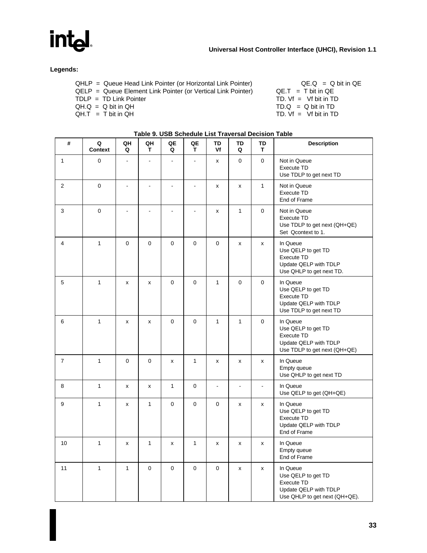

### **Legends:**

| $QHLP = Q$ ueue Head Link Pointer (or Horizontal Link Pointer) | $QE.Q = Q bit in QE$            |
|----------------------------------------------------------------|---------------------------------|
| $QELP = Queue Element Link Pointer (or Vertical Link Pointer)$ | $QE.T = T bit in QE$            |
| $T DLP = T D$ Link Pointer                                     | $TD. \nVf = Vf \nbit in TD$     |
| $QH.Q = Q bit in QH$                                           | $TD.Q = Q bit in TD$            |
| $QH.T = T bit in QH$                                           | TD. $Vf = Vf \text{ bit in TD}$ |

| #              | Q<br><b>Context</b> | QH<br>Q        | QH<br>T      | QE<br>Q      | QE<br>T      | TD<br>Vf           | TD<br>Q        | TD<br>т        | <b>Description</b>                                                                                            |
|----------------|---------------------|----------------|--------------|--------------|--------------|--------------------|----------------|----------------|---------------------------------------------------------------------------------------------------------------|
| $\mathbf{1}$   | $\mathbf 0$         | $\overline{a}$ |              |              |              | x                  | $\mathbf 0$    | $\mathbf 0$    | Not in Queue<br>Execute TD<br>Use TDLP to get next TD                                                         |
| 2              | $\mathbf 0$         | $\overline{a}$ | ٠            |              | ÷,           | x                  | x              | $\mathbf{1}$   | Not in Queue<br>Execute TD<br>End of Frame                                                                    |
| 3              | $\mathbf 0$         | $\overline{a}$ |              |              |              | $\pmb{\mathsf{x}}$ | $\mathbf{1}$   | $\Omega$       | Not in Queue<br>Execute TD<br>Use TDLP to get next (QH+QE)<br>Set Qcontext to 1.                              |
| $\overline{4}$ | $\mathbf{1}$        | 0              | $\mathbf 0$  | $\mathbf 0$  | $\mathbf 0$  | $\mathbf 0$        | x              | X              | In Queue<br>Use QELP to get TD<br>Execute TD<br>Update QELP with TDLP<br>Use QHLP to get next TD.             |
| 5              | $\mathbf{1}$        | x              | X            | $\mathbf 0$  | $\mathbf 0$  | $\mathbf{1}$       | $\mathbf 0$    | $\mathbf 0$    | In Queue<br>Use QELP to get TD<br>Execute TD<br>Update QELP with TDLP<br>Use TDLP to get next TD              |
| 6              | $\mathbf{1}$        | x              | x            | $\mathbf 0$  | $\mathbf 0$  | $\mathbf{1}$       | $\mathbf{1}$   | $\mathbf 0$    | In Queue<br>Use QELP to get TD<br>Execute TD<br>Update QELP with TDLP<br>Use TDLP to get next $(QH + QE)$     |
| $\overline{7}$ | $\mathbf{1}$        | 0              | $\pmb{0}$    | X            | $\mathbf{1}$ | x                  | x              | X              | In Queue<br>Empty queue<br>Use QHLP to get next TD                                                            |
| 8              | $\mathbf{1}$        | x              | X            | $\mathbf{1}$ | 0            | $\blacksquare$     | $\blacksquare$ | $\blacksquare$ | In Queue<br>Use QELP to get (QH+QE)                                                                           |
| 9              | $\mathbf{1}$        | x              | $\mathbf{1}$ | $\mathbf 0$  | $\mathbf 0$  | $\mathbf 0$        | x              | x              | In Queue<br>Use QELP to get TD<br>Execute TD<br>Update QELP with TDLP<br>End of Frame                         |
| 10             | $\mathbf{1}$        | x              | $\mathbf{1}$ | X            | $\mathbf{1}$ | x                  | x              | X              | In Queue<br>Empty queue<br>End of Frame                                                                       |
| 11             | $\mathbf{1}$        | $\mathbf{1}$   | 0            | 0            | $\pmb{0}$    | 0                  | $\pmb{\times}$ | x              | In Queue<br>Use QELP to get TD<br><b>Execute TD</b><br>Update QELP with TDLP<br>Use QHLP to get next (QH+QE). |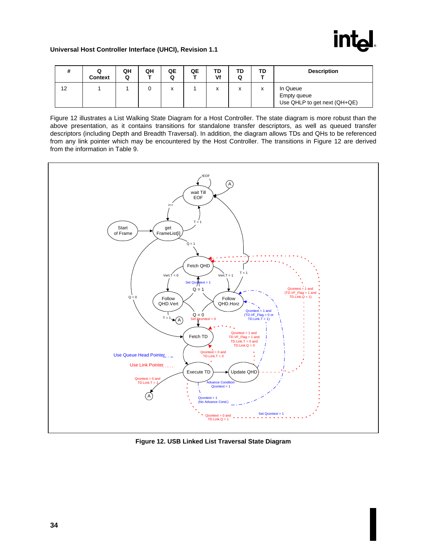

| #  | Context | QH<br>Q | QΗ | QE<br>Q         | QE | TD<br>Vf | TD<br>Q | TD | <b>Description</b>                                      |
|----|---------|---------|----|-----------------|----|----------|---------|----|---------------------------------------------------------|
| 12 |         |         |    | $\check{}$<br>ᄉ |    | x        | x       | x  | In Queue<br>Empty queue<br>Use QHLP to get next (QH+QE) |

Figure 12 illustrates a List Walking State Diagram for a Host Controller. The state diagram is more robust than the above presentation, as it contains transitions for standalone transfer descriptors, as well as queued transfer descriptors (including Depth and Breadth Traversal). In addition, the diagram allows TDs and QHs to be referenced from any link pointer which may be encountered by the Host Controller. The transitions in Figure 12 are derived from the information in Table 9.



**Figure 12. USB Linked List Traversal State Diagram**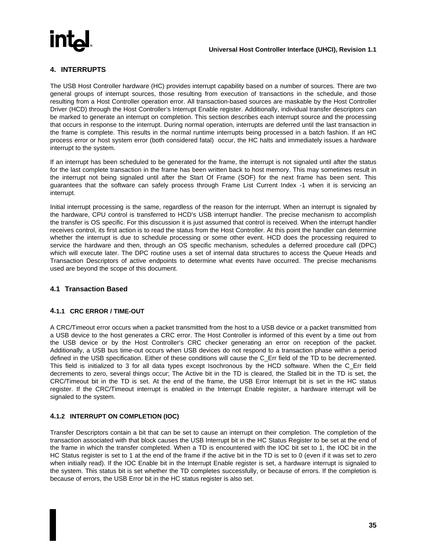<span id="page-40-0"></span>

### **4. INTERRUPTS**

The USB Host Controller hardware (HC) provides interrupt capability based on a number of sources. There are two general groups of interrupt sources, those resulting from execution of transactions in the schedule, and those resulting from a Host Controller operation error. All transaction-based sources are maskable by the Host Controller Driver (HCD) through the Host Controller's Interrupt Enable register. Additionally, individual transfer descriptors can be marked to generate an interrupt on completion. This section describes each interrupt source and the processing that occurs in response to the interrupt. During normal operation, interrupts are deferred until the last transaction in the frame is complete. This results in the normal runtime interrupts being processed in a batch fashion. If an HC process error or host system error (both considered fatal) occur, the HC halts and immediately issues a hardware interrupt to the system.

If an interrupt has been scheduled to be generated for the frame, the interrupt is not signaled until after the status for the last complete transaction in the frame has been written back to host memory. This may sometimes result in the interrupt not being signaled until after the Start Of Frame (SOF) for the next frame has been sent. This guarantees that the software can safely process through Frame List Current Index -1 when it is servicing an interrupt.

Initial interrupt processing is the same, regardless of the reason for the interrupt. When an interrupt is signaled by the hardware, CPU control is transferred to HCD's USB interrupt handler. The precise mechanism to accomplish the transfer is OS specific. For this discussion it is just assumed that control is received. When the interrupt handler receives control, its first action is to read the status from the Host Controller. At this point the handler can determine whether the interrupt is due to schedule processing or some other event. HCD does the processing required to service the hardware and then, through an OS specific mechanism, schedules a deferred procedure call (DPC) which will execute later. The DPC routine uses a set of internal data structures to access the Queue Heads and Transaction Descriptors of active endpoints to determine what events have occurred. The precise mechanisms used are beyond the scope of this document.

#### **4.1 Transaction Based**

#### **4.1.1 CRC ERROR / TIME-OUT**

A CRC/Timeout error occurs when a packet transmitted from the host to a USB device or a packet transmitted from a USB device to the host generates a CRC error. The Host Controller is informed of this event by a time out from the USB device or by the Host Controller's CRC checker generating an error on reception of the packet. Additionally, a USB bus time-out occurs when USB devices do not respond to a transaction phase within a period defined in the USB specification. Either of these conditions will cause the C\_Err field of the TD to be decremented. This field is initialized to 3 for all data types except Isochronous by the HCD software. When the C\_Err field decrements to zero, several things occur; The Active bit in the TD is cleared, the Stalled bit in the TD is set, the CRC/Timeout bit in the TD is set. At the end of the frame, the USB Error Interrupt bit is set in the HC status register. If the CRC/Timeout interrupt is enabled in the Interrupt Enable register, a hardware interrupt will be signaled to the system.

#### **4.1.2 INTERRUPT ON COMPLETION (IOC)**

Transfer Descriptors contain a bit that can be set to cause an interrupt on their completion. The completion of the transaction associated with that block causes the USB Interrupt bit in the HC Status Register to be set at the end of the frame in which the transfer completed. When a TD is encountered with the IOC bit set to 1, the IOC bit in the HC Status register is set to 1 at the end of the frame if the active bit in the TD is set to 0 (even if it was set to zero when initially read). If the IOC Enable bit in the Interrupt Enable register is set, a hardware interrupt is signaled to the system. This status bit is set whether the TD completes successfully, or because of errors. If the completion is because of errors, the USB Error bit in the HC status register is also set.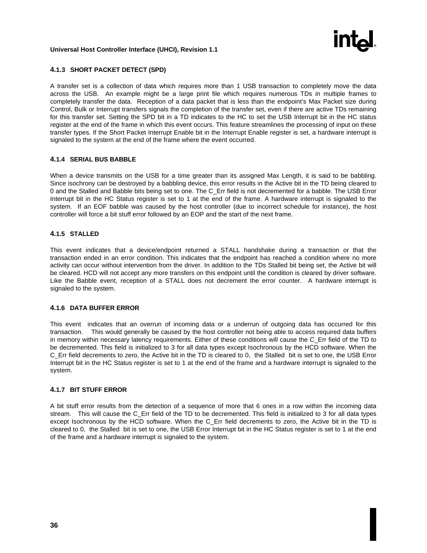

#### <span id="page-41-0"></span>**4.1.3 SHORT PACKET DETECT (SPD)**

A transfer set is a collection of data which requires more than 1 USB transaction to completely move the data across the USB. An example might be a large print file which requires numerous TDs in multiple frames to completely transfer the data. Reception of a data packet that is less than the endpoint's Max Packet size during Control, Bulk or Interrupt transfers signals the completion of the transfer set, even if there are active TDs remaining for this transfer set. Setting the SPD bit in a TD indicates to the HC to set the USB Interrupt bit in the HC status register at the end of the frame in which this event occurs. This feature streamlines the processing of input on these transfer types. If the Short Packet Interrupt Enable bit in the Interrupt Enable register is set, a hardware interrupt is signaled to the system at the end of the frame where the event occurred.

#### **4.1.4 SERIAL BUS BABBLE**

When a device transmits on the USB for a time greater than its assigned Max Length, it is said to be babbling. Since isochrony can be destroyed by a babbling device, this error results in the Active bit in the TD being cleared to 0 and the Stalled and Babble bits being set to one. The C\_Err field is not decremented for a babble. The USB Error Interrupt bit in the HC Status register is set to 1 at the end of the frame. A hardware interrupt is signaled to the system. If an EOF babble was caused by the host controller (due to incorrect schedule for instance), the host controller will force a bit stuff error followed by an EOP and the start of the next frame.

#### **4.1.5 STALLED**

This event indicates that a device/endpoint returned a STALL handshake during a transaction or that the transaction ended in an error condition. This indicates that the endpoint has reached a condition where no more activity can occur without intervention from the driver. In addition to the TDs Stalled bit being set, the Active bit will be cleared. HCD will not accept any more transfers on this endpoint until the condition is cleared by driver software. Like the Babble event, reception of a STALL does not decrement the error counter. A hardware interrupt is signaled to the system.

#### **4.1.6 DATA BUFFER ERROR**

This event indicates that an overrun of incoming data or a underrun of outgoing data has occurred for this transaction. This would generally be caused by the host controller not being able to access required data buffers in memory within necessary latency requirements. Either of these conditions will cause the C\_Err field of the TD to be decremented. This field is initialized to 3 for all data types except Isochronous by the HCD software. When the C\_Err field decrements to zero, the Active bit in the TD is cleared to 0, the Stalled bit is set to one, the USB Error Interrupt bit in the HC Status register is set to 1 at the end of the frame and a hardware interrupt is signaled to the system.

#### **4.1.7 BIT STUFF ERROR**

A bit stuff error results from the detection of a sequence of more that 6 ones in a row within the incoming data stream. This will cause the C\_Err field of the TD to be decremented. This field is initialized to 3 for all data types except Isochronous by the HCD software. When the C\_Err field decrements to zero, the Active bit in the TD is cleared to 0, the Stalled bit is set to one, the USB Error Interrupt bit in the HC Status register is set to 1 at the end of the frame and a hardware interrupt is signaled to the system.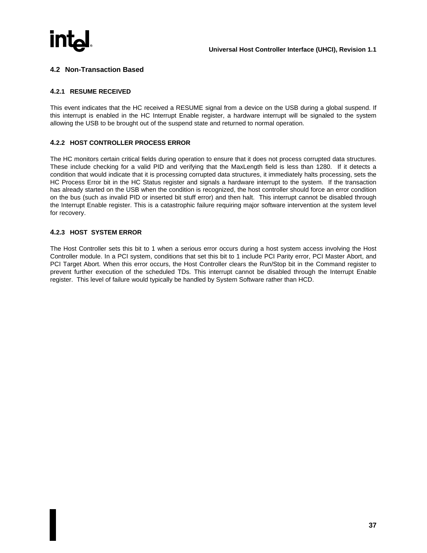# <span id="page-42-0"></span>**R**

## **4.2 Non-Transaction Based**

#### **4.2.1 RESUME RECEIVED**

This event indicates that the HC received a RESUME signal from a device on the USB during a global suspend. If this interrupt is enabled in the HC Interrupt Enable register, a hardware interrupt will be signaled to the system allowing the USB to be brought out of the suspend state and returned to normal operation.

#### **4.2.2 HOST CONTROLLER PROCESS ERROR**

The HC monitors certain critical fields during operation to ensure that it does not process corrupted data structures. These include checking for a valid PID and verifying that the MaxLength field is less than 1280. If it detects a condition that would indicate that it is processing corrupted data structures, it immediately halts processing, sets the HC Process Error bit in the HC Status register and signals a hardware interrupt to the system. If the transaction has already started on the USB when the condition is recognized, the host controller should force an error condition on the bus (such as invalid PID or inserted bit stuff error) and then halt. This interrupt cannot be disabled through the Interrupt Enable register. This is a catastrophic failure requiring major software intervention at the system level for recovery.

#### **4.2.3 HOST SYSTEM ERROR**

The Host Controller sets this bit to 1 when a serious error occurs during a host system access involving the Host Controller module. In a PCI system, conditions that set this bit to 1 include PCI Parity error, PCI Master Abort, and PCI Target Abort. When this error occurs, the Host Controller clears the Run/Stop bit in the Command register to prevent further execution of the scheduled TDs. This interrupt cannot be disabled through the Interrupt Enable register. This level of failure would typically be handled by System Software rather than HCD.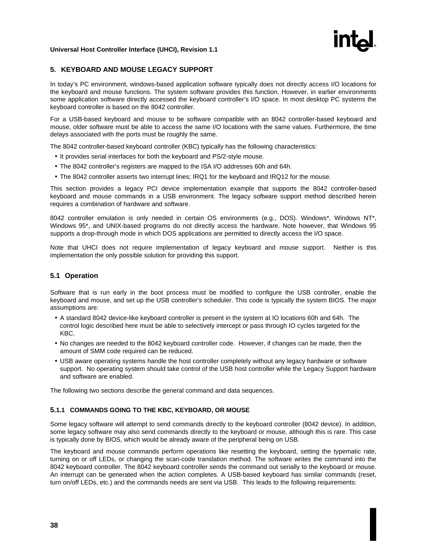

#### <span id="page-43-0"></span>**5. KEYBOARD AND MOUSE LEGACY SUPPORT**

In today's PC environment, windows-based application software typically does not directly access I/O locations for the keyboard and mouse functions. The system software provides this function. However, in earlier environments some application software directly accessed the keyboard controller's I/O space. In most desktop PC systems the keyboard controller is based on the 8042 controller.

For a USB-based keyboard and mouse to be software compatible with an 8042 controller-based keyboard and mouse, older software must be able to access the same I/O locations with the same values. Furthermore, the time delays associated with the ports must be roughly the same.

The 8042 controller-based keyboard controller (KBC) typically has the following characteristics:

- It provides serial interfaces for both the keyboard and PS/2-style mouse.
- The 8042 controller's registers are mapped to the ISA I/O addresses 60h and 64h.
- The 8042 controller asserts two interrupt lines; IRQ1 for the keyboard and IRQ12 for the mouse.

This section provides a legacy PCI device implementation example that supports the 8042 controller-based keyboard and mouse commands in a USB environment. The legacy software support method described herein requires a combination of hardware and software.

8042 controller emulation is only needed in certain OS environments (e.g., DOS). Windows\*, Windows NT\*, Windows 95\*, and UNIX-based programs do not directly access the hardware. Note however, that Windows 95 supports a drop-through mode in which DOS applications are permitted to directly access the I/O space.

Note that UHCI does not require implementation of legacy keyboard and mouse support. Neither is this implementation the only possible solution for providing this support.

#### **5.1 Operation**

Software that is run early in the boot process must be modified to configure the USB controller, enable the keyboard and mouse, and set up the USB controller's scheduler. This code is typically the system BIOS. The major assumptions are:

- A standard 8042 device-like keyboard controller is present in the system at IO locations 60h and 64h. The control logic described here must be able to selectively intercept or pass through IO cycles targeted for the KBC.
- No changes are needed to the 8042 keyboard controller code. However, if changes can be made, then the amount of SMM code required can be reduced.
- USB aware operating systems handle the host controller completely without any legacy hardware or software support. No operating system should take control of the USB host controller while the Legacy Support hardware and software are enabled.

The following two sections describe the general command and data sequences.

#### **5.1.1 COMMANDS GOING TO THE KBC, KEYBOARD, OR MOUSE**

Some legacy software will attempt to send commands directly to the keyboard controller (8042 device). In addition, some legacy software may also send commands directly to the keyboard or mouse, although this is rare. This case is typically done by BIOS, which would be already aware of the peripheral being on USB.

The keyboard and mouse commands perform operations like resetting the keyboard, setting the typematic rate, turning on or off LEDs, or changing the scan-code translation method. The software writes the command into the 8042 keyboard controller. The 8042 keyboard controller sends the command out serially to the keyboard or mouse. An interrupt can be generated when the action completes. A USB-based keyboard has similar commands (reset, turn on/off LEDs, etc.) and the commands needs are sent via USB. This leads to the following requirements: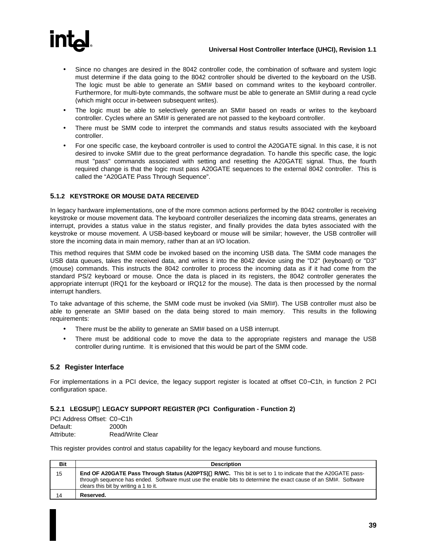<span id="page-44-0"></span>

- Since no changes are desired in the 8042 controller code, the combination of software and system logic must determine if the data going to the 8042 controller should be diverted to the keyboard on the USB. The logic must be able to generate an SMI# based on command writes to the keyboard controller. Furthermore, for multi-byte commands, the software must be able to generate an SMI# during a read cycle (which might occur in-between subsequent writes).
- The logic must be able to selectively generate an SMI# based on reads or writes to the keyboard controller. Cycles where an SMI# is generated are not passed to the keyboard controller.
- There must be SMM code to interpret the commands and status results associated with the keyboard controller.
- For one specific case, the keyboard controller is used to control the A20GATE signal. In this case, it is not desired to invoke SMI# due to the great performance degradation. To handle this specific case, the logic must "pass" commands associated with setting and resetting the A20GATE signal. Thus, the fourth required change is that the logic must pass A20GATE sequences to the external 8042 controller. This is called the "A20GATE Pass Through Sequence".

#### **5.1.2 KEYSTROKE OR MOUSE DATA RECEIVED**

In legacy hardware implementations, one of the more common actions performed by the 8042 controller is receiving keystroke or mouse movement data. The keyboard controller deserializes the incoming data streams, generates an interrupt, provides a status value in the status register, and finally provides the data bytes associated with the keystroke or mouse movement. A USB-based keyboard or mouse will be similar; however, the USB controller will store the incoming data in main memory, rather than at an I/O location.

This method requires that SMM code be invoked based on the incoming USB data. The SMM code manages the USB data queues, takes the received data, and writes it into the 8042 device using the "D2" (keyboard) or "D3" (mouse) commands. This instructs the 8042 controller to process the incoming data as if it had come from the standard PS/2 keyboard or mouse. Once the data is placed in its registers, the 8042 controller generates the appropriate interrupt (IRQ1 for the keyboard or IRQ12 for the mouse). The data is then processed by the normal interrupt handlers.

To take advantage of this scheme, the SMM code must be invoked (via SMI#). The USB controller must also be able to generate an SMI# based on the data being stored to main memory. This results in the following requirements:

- There must be the ability to generate an SMI# based on a USB interrupt.
- There must be additional code to move the data to the appropriate registers and manage the USB controller during runtime. It is envisioned that this would be part of the SMM code.

#### **5.2 Register Interface**

For implementations in a PCI device, the legacy support register is located at offset C0−C1h, in function 2 PCI configuration space.

#### **5.2.1 LEGSUPLEGACY SUPPORT REGISTER (PCI Configuration - Function 2)**

| PCI Address Offset: C0–C1h |                  |
|----------------------------|------------------|
| Default:                   | 2000h            |
| Attribute:                 | Read/Write Clear |

This register provides control and status capability for the legacy keyboard and mouse functions.

| <b>Bit</b> | <b>Description</b>                                                                                                                                                                                                                                                    |
|------------|-----------------------------------------------------------------------------------------------------------------------------------------------------------------------------------------------------------------------------------------------------------------------|
| 15         | End OF A20GATE Pass Through Status (A20PTS)—R/WC. This bit is set to 1 to indicate that the A20GATE pass-<br>through sequence has ended. Software must use the enable bits to determine the exact cause of an SMI#. Software<br>clears this bit by writing a 1 to it. |
| 14         | Reserved.                                                                                                                                                                                                                                                             |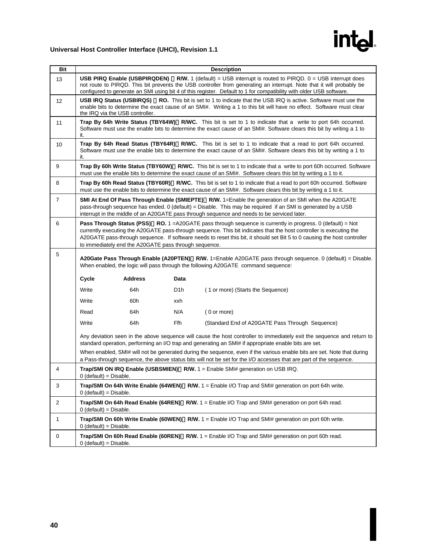# intd.

### **Universal Host Controller Interface (UHCI), Revision 1.1**

| Bit            |                                                                                                                                                                                                                                                                                                                                                                                                                         |                                                                                                                                                                                                                                      |                  | <b>Description</b>                                                                                                                                                                                                                 |  |  |  |  |
|----------------|-------------------------------------------------------------------------------------------------------------------------------------------------------------------------------------------------------------------------------------------------------------------------------------------------------------------------------------------------------------------------------------------------------------------------|--------------------------------------------------------------------------------------------------------------------------------------------------------------------------------------------------------------------------------------|------------------|------------------------------------------------------------------------------------------------------------------------------------------------------------------------------------------------------------------------------------|--|--|--|--|
| 13             | <b>USB PIRQ Enable (USBPIRQDEN)</b> - R/W. 1 (default) = USB interrupt is routed to PIRQD. $0 =$ USB interrupt does<br>not route to PIRQD. This bit prevents the USB controller from generating an interrupt. Note that it will probably be<br>configured to generate an SMI using bit 4 of this register. Default to 1 for compatibility with older USB software.                                                      |                                                                                                                                                                                                                                      |                  |                                                                                                                                                                                                                                    |  |  |  |  |
| 12             | USB IRQ Status (USBIRQS)—RO. This bit is set to 1 to indicate that the USB IRQ is active. Software must use the<br>enable bits to determine the exact cause of an SMI#. Writing a 1 to this bit will have no effect. Software must clear<br>the IRQ via the USB controller.                                                                                                                                             |                                                                                                                                                                                                                                      |                  |                                                                                                                                                                                                                                    |  |  |  |  |
| 11             | it.                                                                                                                                                                                                                                                                                                                                                                                                                     | Trap By 64h Write Status (TBY64W)-R/WC. This bit is set to 1 to indicate that a write to port 64h occurred.<br>Software must use the enable bits to determine the exact cause of an SMI#. Software clears this bit by writing a 1 to |                  |                                                                                                                                                                                                                                    |  |  |  |  |
| 10             | it.                                                                                                                                                                                                                                                                                                                                                                                                                     |                                                                                                                                                                                                                                      |                  | Trap By 64h Read Status (TBY64R)-R/WC. This bit is set to 1 to indicate that a read to port 64h occurred.<br>Software must use the enable bits to determine the exact cause of an SMI#. Software clears this bit by writing a 1 to |  |  |  |  |
| 9              | Trap By 60h Write Status (TBY60W)-R/WC. This bit is set to 1 to indicate that a write to port 60h occurred. Software<br>must use the enable bits to determine the exact cause of an SMI#. Software clears this bit by writing a 1 to it.                                                                                                                                                                                |                                                                                                                                                                                                                                      |                  |                                                                                                                                                                                                                                    |  |  |  |  |
| 8              | Trap By 60h Read Status (TBY60R)—R/WC. This bit is set to 1 to indicate that a read to port 60h occurred. Software<br>must use the enable bits to determine the exact cause of an SMI#. Software clears this bit by writing a 1 to it.                                                                                                                                                                                  |                                                                                                                                                                                                                                      |                  |                                                                                                                                                                                                                                    |  |  |  |  |
| $\overline{7}$ | SMI At End Of Pass Through Enable (SMIEPTE)-R/W. 1=Enable the generation of an SMI when the A20GATE<br>pass-through sequence has ended. 0 (default) = Disable. This may be required if an SMI is generated by a USB<br>interrupt in the middle of an A20GATE pass through sequence and needs to be serviced later.                                                                                                      |                                                                                                                                                                                                                                      |                  |                                                                                                                                                                                                                                    |  |  |  |  |
| 6              | Pass Through Status (PSS)-RO. 1 = A20GATE pass through sequence is currently in progress. 0 (default) = Not<br>currently executing the A20GATE pass-through sequence. This bit indicates that the host controller is executing the<br>A20GATE pass-through sequence. If software needs to reset this bit, it should set Bit 5 to 0 causing the host controller<br>to immediately end the A20GATE pass through sequence. |                                                                                                                                                                                                                                      |                  |                                                                                                                                                                                                                                    |  |  |  |  |
| $\,$ 5 $\,$    | A20Gate Pass Through Enable (A20PTEN)—R/W. 1=Enable A20GATE pass through sequence. 0 (default) = Disable.<br>When enabled, the logic will pass through the following A20GATE command sequence:                                                                                                                                                                                                                          |                                                                                                                                                                                                                                      |                  |                                                                                                                                                                                                                                    |  |  |  |  |
|                | Cycle                                                                                                                                                                                                                                                                                                                                                                                                                   | <b>Address</b>                                                                                                                                                                                                                       | Data             |                                                                                                                                                                                                                                    |  |  |  |  |
|                | Write                                                                                                                                                                                                                                                                                                                                                                                                                   | 64h                                                                                                                                                                                                                                  | D <sub>1</sub> h | (1 or more) (Starts the Sequence)                                                                                                                                                                                                  |  |  |  |  |
|                | Write                                                                                                                                                                                                                                                                                                                                                                                                                   | 60h                                                                                                                                                                                                                                  | xxh              |                                                                                                                                                                                                                                    |  |  |  |  |
|                | Read                                                                                                                                                                                                                                                                                                                                                                                                                    | 64h                                                                                                                                                                                                                                  | N/A              | $(0 \text{ or more})$                                                                                                                                                                                                              |  |  |  |  |
|                | Write                                                                                                                                                                                                                                                                                                                                                                                                                   | 64h                                                                                                                                                                                                                                  | Ffh              | (Standard End of A20GATE Pass Through Sequence)                                                                                                                                                                                    |  |  |  |  |
|                | Any deviation seen in the above sequence will cause the host controller to immediately exit the sequence and return to<br>standard operation, performing an I/O trap and generating an SMI# if appropriate enable bits are set.                                                                                                                                                                                         |                                                                                                                                                                                                                                      |                  |                                                                                                                                                                                                                                    |  |  |  |  |
|                | When enabled, SMI# will not be generated during the sequence, even if the various enable bits are set. Note that during<br>a Pass-through sequence, the above status bits will not be set for the I/O accesses that are part of the sequence.                                                                                                                                                                           |                                                                                                                                                                                                                                      |                  |                                                                                                                                                                                                                                    |  |  |  |  |
| 4              | <b>Trap/SMI ON IRQ Enable (USBSMIEN)—R/W.</b> $1 =$ Enable SMI# generation on USB IRQ.<br>$0$ (default) = Disable.                                                                                                                                                                                                                                                                                                      |                                                                                                                                                                                                                                      |                  |                                                                                                                                                                                                                                    |  |  |  |  |
| 3              | Trap/SMI On 64h Write Enable (64WEN)—R/W. 1 = Enable I/O Trap and SMI# generation on port 64h write.<br>$0$ (default) = Disable.                                                                                                                                                                                                                                                                                        |                                                                                                                                                                                                                                      |                  |                                                                                                                                                                                                                                    |  |  |  |  |
| $\overline{c}$ | $0$ (default) = Disable.                                                                                                                                                                                                                                                                                                                                                                                                |                                                                                                                                                                                                                                      |                  | <b>Trap/SMI On 64h Read Enable (64REN)—R/W.</b> $1 =$ Enable I/O Trap and SMI# generation on port 64h read.                                                                                                                        |  |  |  |  |
| 1              | $0$ (default) = Disable.                                                                                                                                                                                                                                                                                                                                                                                                |                                                                                                                                                                                                                                      |                  | Trap/SMI On 60h Write Enable (60WEN)—R/W. 1 = Enable I/O Trap and SMI# generation on port 60h write.                                                                                                                               |  |  |  |  |
| $\pmb{0}$      | $0$ (default) = Disable.                                                                                                                                                                                                                                                                                                                                                                                                |                                                                                                                                                                                                                                      |                  | Trap/SMI On 60h Read Enable (60REN)-R/W. 1 = Enable I/O Trap and SMI# generation on port 60h read.                                                                                                                                 |  |  |  |  |